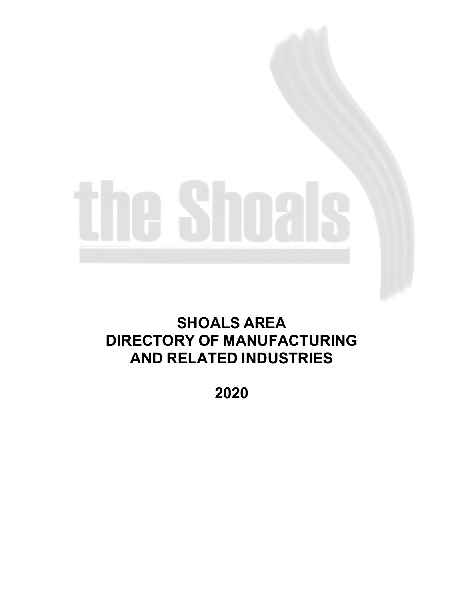# **SHOALS AREA DIRECTORY OF MANUFACTURING AND RELATED INDUSTRIES**

**2020**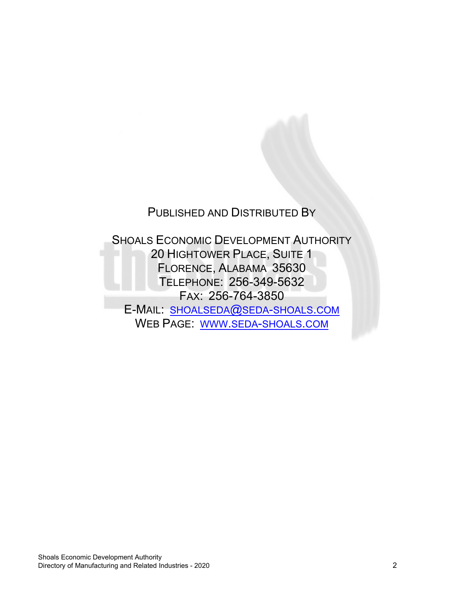### PUBLISHED AND DISTRIBUTED BY

SHOALS ECONOMIC DEVELOPMENT AUTHORITY 20 HIGHTOWER PLACE, SUITE 1 FLORENCE, ALABAMA 35630 TELEPHONE: 256-349-5632 FAX: 256-764-3850 E-MAIL: [SHOALSEDA@SEDA-SHOALS.COM](mailto:shoalseda@seda-shoals.com) WEB PAGE: [WWW.SEDA-SHOALS.COM](http://www.seda-shoals.com/)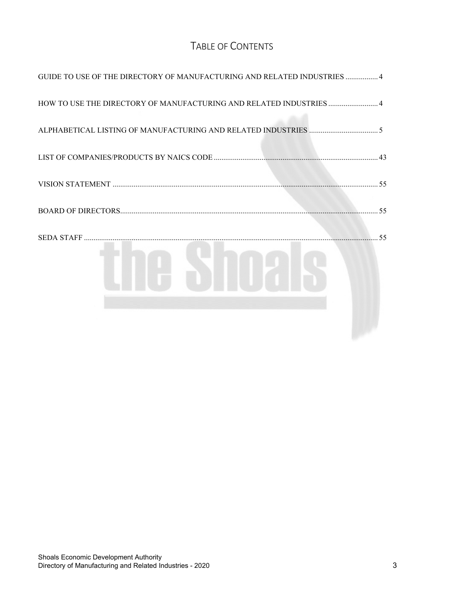#### TABLE OF CONTENTS

| GUIDE TO USE OF THE DIRECTORY OF MANUFACTURING AND RELATED INDUSTRIES  4 |
|--------------------------------------------------------------------------|
| HOW TO USE THE DIRECTORY OF MANUFACTURING AND RELATED INDUSTRIES 4       |
|                                                                          |
|                                                                          |
|                                                                          |
|                                                                          |
| 55                                                                       |
|                                                                          |
|                                                                          |
|                                                                          |
|                                                                          |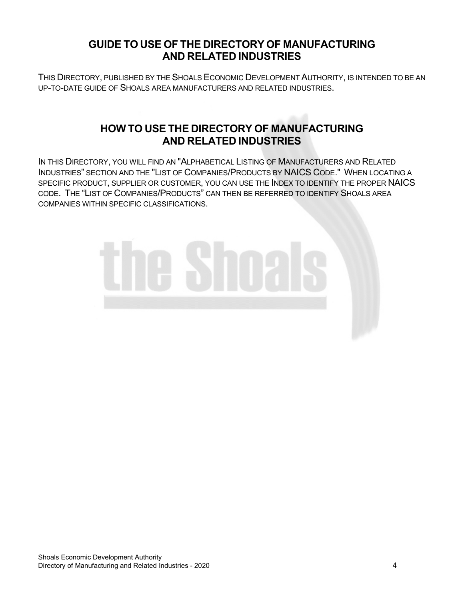#### **GUIDE TO USE OF THE DIRECTORY OF MANUFACTURING AND RELATED INDUSTRIES**

<span id="page-3-0"></span>THIS DIRECTORY, PUBLISHED BY THE SHOALS ECONOMIC DEVELOPMENT AUTHORITY, IS INTENDED TO BE AN UP-TO-DATE GUIDE OF SHOALS AREA MANUFACTURERS AND RELATED INDUSTRIES.

#### **HOW TO USE THE DIRECTORY OF MANUFACTURING AND RELATED INDUSTRIES**

<span id="page-3-1"></span>IN THIS DIRECTORY, YOU WILL FIND AN "ALPHABETICAL LISTING OF MANUFACTURERS AND RELATED INDUSTRIES" SECTION AND THE "LIST OF COMPANIES/PRODUCTS BY NAICS CODE." WHEN LOCATING A SPECIFIC PRODUCT, SUPPLIER OR CUSTOMER, YOU CAN USE THE INDEX TO IDENTIFY THE PROPER NAICS CODE. THE "LIST OF COMPANIES/PRODUCTS" CAN THEN BE REFERRED TO IDENTIFY SHOALS AREA COMPANIES WITHIN SPECIFIC CLASSIFICATIONS.

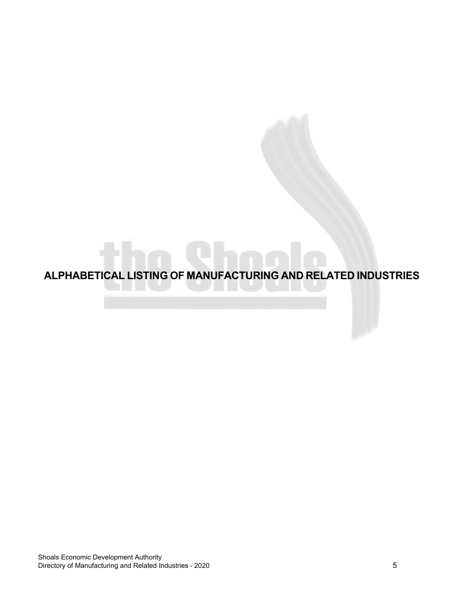<span id="page-4-0"></span>**ALPHABETICAL LISTING OF MANUFACTURING AND RELATED INDUSTRIES**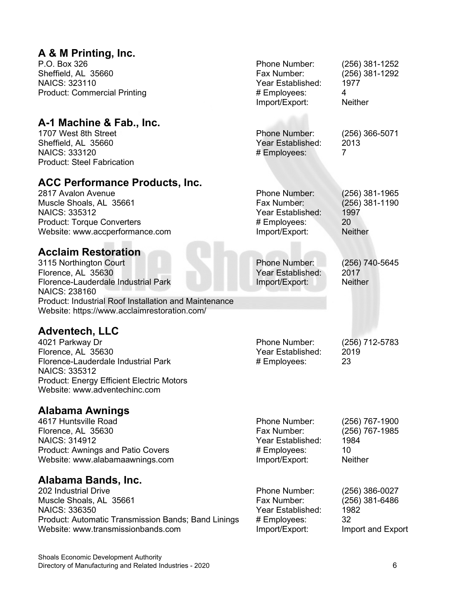#### **A & M Printing, Inc.**

P.O. Box 326 Sheffield, AL 35660 NAICS: 323110 Product: Commercial Printing

#### **A-1 Machine & Fab., Inc.**

1707 West 8th Street Sheffield, AL 35660 NAICS: 333120 Product: Steel Fabrication

#### **ACC Performance Products, Inc.**

2817 Avalon Avenue Muscle Shoals, AL 35661 NAICS: 335312 Product: Torque Converters Website: www.accperformance.com

#### **Acclaim Restoration**

3115 Northington Court Florence, AL 35630 Florence-Lauderdale Industrial Park NAICS: 238160 Product: Industrial Roof Installation and Maintenance Website: https://www.acclaimrestoration.com/

#### **Adventech, LLC**

4021 Parkway Dr Florence, AL 35630 Florence-Lauderdale Industrial Park NAICS: 335312 Product: Energy Efficient Electric Motors Website: www.adventechinc.com

#### **Alabama Awnings**

| Alabama Bands, Inc.                      |                   |                |
|------------------------------------------|-------------------|----------------|
| Website: www.alabamaawnings.com          | Import/Export:    | <b>Neither</b> |
| <b>Product: Awnings and Patio Covers</b> | # Employees:      | 10             |
| <b>NAICS: 314912</b>                     | Year Established: | 1984           |
| Florence, AL 35630                       | Fax Number:       | (256) 767-1985 |
| 4617 Huntsville Road                     | Phone Number:     | (256) 767-1900 |

202 Industrial Drive Muscle Shoals, AL 35661 NAICS: 336350 Product: Automatic Transmission Bands; Band Linings Website: www.transmissionbands.com

| Import/Export:                                            | Neither                |
|-----------------------------------------------------------|------------------------|
| <b>Phone Number:</b><br>Year Established:<br># Employees: | (256) 366-5071<br>2013 |

Phone Number: (256) 381-1252

Phone Number: (256) 381-1965 Fax Number: (256) 381-1190 Year Established: 1997 # Employees: 20 Import/Export: Neither

Year Established: # Employees: 4

Phone Number: (256) 740-5645 Year Established: 2017 Import/Export: Neither

(256) 381-1292<br>1977

Phone Number: (256) 712-5783 Year Established: 2019 # Employees: 23

| Phone Number:     | $(256)$ 386-0027  |
|-------------------|-------------------|
| Fax Number:       | $(256)$ 381-6486  |
| Year Established: | 1982              |
| # Employees:      | 32                |
| Import/Export:    | Import and Export |
|                   |                   |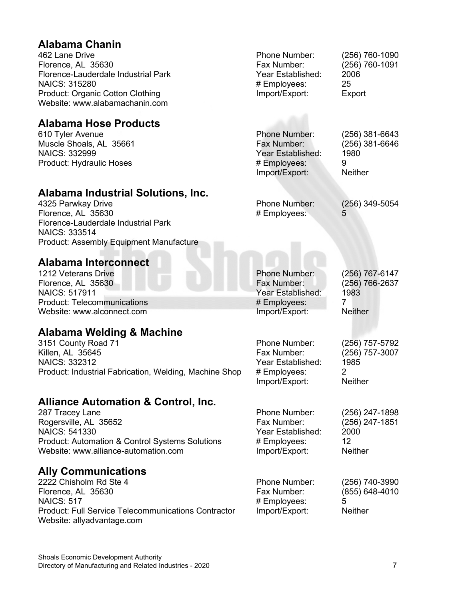#### **Alabama Chanin** 462 Lane Drive Florence, AL 35630 Florence-Lauderdale Industrial Park NAICS: 315280 Product: Organic Cotton Clothing Website: www.alabamachanin.com Phone Number: (256) 760-1090 Fax Number: (256) 760-1091 Year Established: 2006 # Employees: 25 Import/Export: Export **Alabama Hose Products** 610 Tyler Avenue Muscle Shoals, AL 35661 NAICS: 332999 Product: Hydraulic Hoses Phone Number: (256) 381-6643 Fax Number: (256) 381-6646 Year Established: 1980<br># Emplovees: 9 # Employees: 9<br>Import/Export: 9<br>Neither Import/Export: **Alabama Industrial Solutions, Inc.** 4325 Parwkay Drive Florence, AL 35630 Florence-Lauderdale Industrial Park NAICS: 333514 Product: Assembly Equipment Manufacture Phone Number: (256) 349-5054 # Employees: 5 **Alabama Interconnect** 1212 Veterans Drive Florence, AL 35630 NAICS: 517911 Product: Telecommunications Website: www.alconnect.com Phone Number: (256) 767-6147 (256) 766-2637 Year Established: 1983 # Employees: 7<br>Import/Export: 7<br>Neither Import/Export: **Alabama Welding & Machine** 3151 County Road 71 Killen, AL 35645 NAICS: 332312 Product: Industrial Fabrication, Welding, Machine Shop Phone Number: (256) 757-5792 Fax Number: (256) 757-3007 Year Established: 1985<br># Employees: 2 # Employees: 2 Import/Export: Neither **Alliance Automation & Control, Inc.** 287 Tracey Lane Rogersville, AL 35652 NAICS: 541330 Product: Automation & Control Systems Solutions Website: www.alliance-automation.com Phone Number: (256) 247-1898<br>Fax Number: (256) 247-1851 (256) 247-1851 Year Established: 2000 # Employees: 12 Import/Export: Neither **Ally Communications** 2222 Chisholm Rd Ste 4 Florence, AL 35630 NAICS: 517 Phone Number: (256) 740-3990 Fax Number: (855) 648-4010 # Employees: 5

Shoals Economic Development Authority

Import/Export: Neither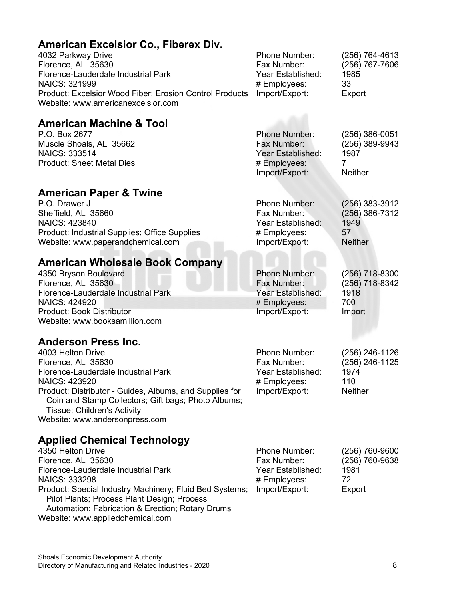| American Excelsior Co., Fiberex Div.<br>4032 Parkway Drive<br>Florence, AL 35630<br>Florence-Lauderdale Industrial Park<br>NAICS: 321999<br>Product: Excelsior Wood Fiber; Erosion Control Products<br>Website: www.americanexcelsior.com                                                                                                      | Phone Number:<br>Fax Number:<br>Year Established:<br># Employees:<br>Import/Export:        | (256) 764-4613<br>(256) 767-7606<br>1985<br>33<br>Export           |
|------------------------------------------------------------------------------------------------------------------------------------------------------------------------------------------------------------------------------------------------------------------------------------------------------------------------------------------------|--------------------------------------------------------------------------------------------|--------------------------------------------------------------------|
| <b>American Machine &amp; Tool</b><br>P.O. Box 2677<br>Muscle Shoals, AL 35662<br><b>NAICS: 333514</b><br><b>Product: Sheet Metal Dies</b>                                                                                                                                                                                                     | <b>Phone Number:</b><br>Fax Number:<br>Year Established:<br># Employees:<br>Import/Export: | $(256)$ 386-0051<br>(256) 389-9943<br>1987<br>7<br><b>Neither</b>  |
| <b>American Paper &amp; Twine</b><br>P.O. Drawer J<br>Sheffield, AL 35660<br>NAICS: 423840<br>Product: Industrial Supplies; Office Supplies<br>Website: www.paperandchemical.com                                                                                                                                                               | Phone Number:<br>Fax Number:<br>Year Established:<br># Employees:<br>Import/Export:        | $(256)$ 383-3912<br>(256) 386-7312<br>1949<br>57<br><b>Neither</b> |
| <b>American Wholesale Book Company</b><br>4350 Bryson Boulevard<br>Florence, AL 35630<br>Florence-Lauderdale Industrial Park<br><b>NAICS: 424920</b><br>Product: Book Distributor<br>Website: www.booksamillion.com                                                                                                                            | <b>Phone Number:</b><br>Fax Number:<br>Year Established:<br># Employees:<br>Import/Export: | (256) 718-8300<br>(256) 718-8342<br>1918<br>700<br>Import          |
| <b>Anderson Press Inc.</b><br>4003 Helton Drive<br>Florence, AL 35630<br>Florence-Lauderdale Industrial Park<br><b>NAICS: 423920</b><br>Product: Distributor - Guides, Albums, and Supplies for<br>Coin and Stamp Collectors; Gift bags; Photo Albums;<br>Tissue; Children's Activity<br>Website: www.andersonpress.com                        | Phone Number:<br>Fax Number:<br>Year Established:<br># Employees:<br>Import/Export:        | (256) 246-1126<br>(256) 246-1125<br>1974<br>110<br><b>Neither</b>  |
| <b>Applied Chemical Technology</b><br>4350 Helton Drive<br>Florence, AL 35630<br>Florence-Lauderdale Industrial Park<br><b>NAICS: 333298</b><br>Product: Special Industry Machinery; Fluid Bed Systems;<br>Pilot Plants; Process Plant Design; Process<br>Automation; Fabrication & Erection; Rotary Drums<br>Website: www.appliedchemical.com | Phone Number:<br>Fax Number:<br>Year Established:<br># Employees:<br>Import/Export:        | (256) 760-9600<br>(256) 760-9638<br>1981<br>72<br>Export           |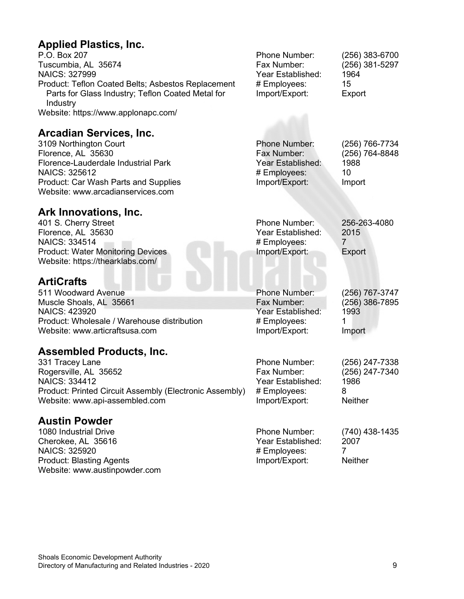#### **Applied Plastics, Inc.**

P.O. Box 207 Tuscumbia, AL 35674 NAICS: 327999 Product: Teflon Coated Belts; Asbestos Replacement Parts for Glass Industry; Teflon Coated Metal for Industry Website: https://www.applonapc.com/

#### **Arcadian Services, Inc.**

3109 Northington Court Florence, AL 35630 Florence-Lauderdale Industrial Park NAICS: 325612 Product: Car Wash Parts and Supplies Website: www.arcadianservices.com

#### **Ark Innovations, Inc.**

401 S. Cherry Street Florence, AL 35630 NAICS: 334514 Product: Water Monitoring Devices Website: https://thearklabs.com/

#### **ArtiCrafts**

511 Woodward Avenue Muscle Shoals, AL 35661 NAICS: 423920 Product: Wholesale / Warehouse distribution Website: www.articraftsusa.com

#### **Assembled Products, Inc.**

331 Tracey Lane Rogersville, AL 35652 NAICS: 334412 Product: Printed Circuit Assembly (Electronic Assembly) Website: www.api-assembled.com

#### **Austin Powder**

1080 Industrial Drive Cherokee, AL 35616 NAICS: 325920 Product: Blasting Agents Website: www.austinpowder.com

Phone Number: (256) 383-6700 Fax Number: (256) 381-5297 Year Established: 1964 # Employees: 15 Import/Export: Export

Phone Number: (256) 766-7734 Year Established: # Employees: 10 Import/Export: Import

(256) 764-8848<br>1988

Phone Number: 256-263-4080 Year Established: 2015 # Employees: 7 Import/Export: Export

Phone Number: (256) 767-3747 Fax Number: (256) 386-7895 Year Established: 1993 # Employees: 1<br>Import/Export: Import Import/Export:

Phone Number: (256) 247-7338 Year Established: 19<br>
# Employees: 8 # Employees: Import/Export: Neither

(256) 247-7340<br>1986

Phone Number: (740) 438-1435 Year Established: 2007<br># Emplovees: 7 # Employees: 7<br>Import/Export: Neither Import/Export: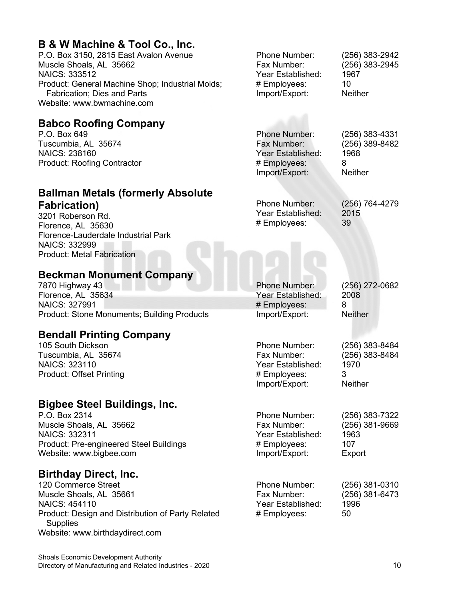#### **B & W Machine & Tool Co., Inc.**

P.O. Box 3150, 2815 East Avalon Avenue Muscle Shoals, AL 35662 NAICS: 333512 Product: General Machine Shop; Industrial Molds; Fabrication; Dies and Parts Website: www.bwmachine.com

#### **Babco Roofing Company**

P.O. Box 649 Tuscumbia, AL 35674 NAICS: 238160 Product: Roofing Contractor

#### **Ballman Metals (formerly Absolute Fabrication)**

3201 Roberson Rd. Florence, AL 35630 Florence-Lauderdale Industrial Park NAICS: 332999 Product: Metal Fabrication

#### **Beckman Monument Company**

7870 Highway 43 Florence, AL 35634 NAICS: 327991 Product: Stone Monuments; Building Products

#### **Bendall Printing Company**

105 South Dickson Tuscumbia, AL 35674 NAICS: 323110 Product: Offset Printing

#### **Bigbee Steel Buildings, Inc.**

P.O. Box 2314 Muscle Shoals, AL 35662 NAICS: 332311 Product: Pre-engineered Steel Buildings Website: www.bigbee.com

#### **Birthday Direct, Inc.**

120 Commerce Street Muscle Shoals, AL 35661 NAICS: 454110 Product: Design and Distribution of Party Related **Supplies** Website: www.birthdaydirect.com

Phone Number: (256) 383-2942 Fax Number: (256) 383-2945 Year Established: 1967 # Employees: 10<br>
Import/Export: Neither Import/Export:

Phone Number: (256) 383-4331 Fax Number: (256) 389-8482 Year Established: 1968<br># Employees: 8 # Employees: 8<br>Import/Export: 8<br>Neither Import/Export:

Phone Number: (256) 764-4279<br>Year Established: (2015) Year Established: # Employees: 39

Phone Number: (256) 272-0682 Year Established: 2008 # Employees: 8 Import/Export: Neither

(256) 383-8484

Phone Number: (256) 383-8484<br>Fax Number: (256) 383-8484 Year Established: 1970 # Employees: 3 Import/Export: Neither

Phone Number: (256) 383-7322 (256) 381-9669 Year Established: 1963 # Employees: 107 Import/Export: Export

| Phone Number:     | $(256)$ 381-0310 |
|-------------------|------------------|
| Fax Number:       | $(256)$ 381-6473 |
| Year Established: | 1996             |
| # Employees:      | 50               |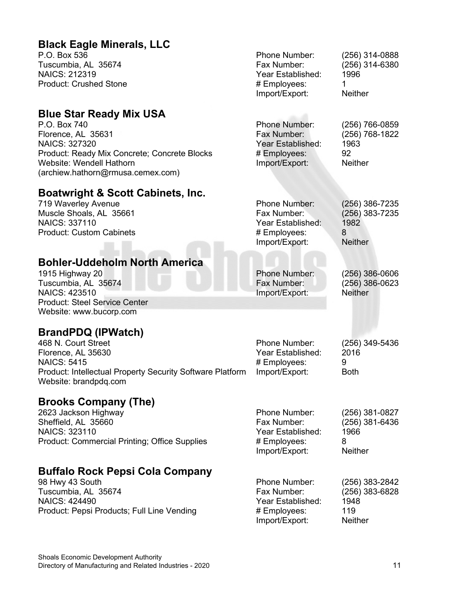#### **Black Eagle Minerals, LLC** P.O. Box 536 Tuscumbia, AL 35674 NAICS: 212319 Product: Crushed Stone Phone Number: (256) 314-0888 Fax Number: (256) 314-6380 Year Established: 1996 # Employees: 1 Import/Export: Neither **Blue Star Ready Mix USA** P.O. Box 740 Florence, AL 35631 NAICS: 327320 Product: Ready Mix Concrete; Concrete Blocks Website: Wendell Hathorn (archiew.hathorn@rmusa.cemex.com) Phone Number: (256) 766-0859 Fax Number: (256) 768-1822 Year Established: 1963 # Employees: 92<br>Import/Export: Neither Import/Export: **Boatwright & Scott Cabinets, Inc.** 719 Waverley Avenue Muscle Shoals, AL 35661 NAICS: 337110 Product: Custom Cabinets Phone Number: (256) 386-7235 (256) 383-7235<br>1982 Year Established: # Employees: 8 Import/Export: Neither **Bohler-Uddeholm North America** 1915 Highway 20 Tuscumbia, AL 35674 NAICS: 423510 Product: Steel Service Center Website: www.bucorp.com Phone Number: (256) 386-0606  $(256)$  386-0623 Import/Export: Neither **BrandPDQ (IPWatch)** 468 N. Court Street Florence, AL 35630 NAICS: 5415 Product: Intellectual Property Security Software Platform Website: brandpdq.com Phone Number: (256) 349-5436 Year Established: 2016 # Employees: 9 Import/Export: **Brooks Company (The)** 2623 Jackson Highway Sheffield, AL 35660 NAICS: 323110 Product: Commercial Printing; Office Supplies Phone Number: (256) 381-0827<br>Fax Number: (256) 381-6436 (256) 381-6436 Year Established: 1966 # Employees: 8 Import/Export: Neither **Buffalo Rock Pepsi Cola Company** 98 Hwy 43 South Tuscumbia, AL 35674 NAICS: 424490 Product: Pepsi Products; Full Line Vending Phone Number: (256) 383-2842 Fax Number: (256) 383-6828 Year Established: 1948 # Employees: 119 Import/Export: Neither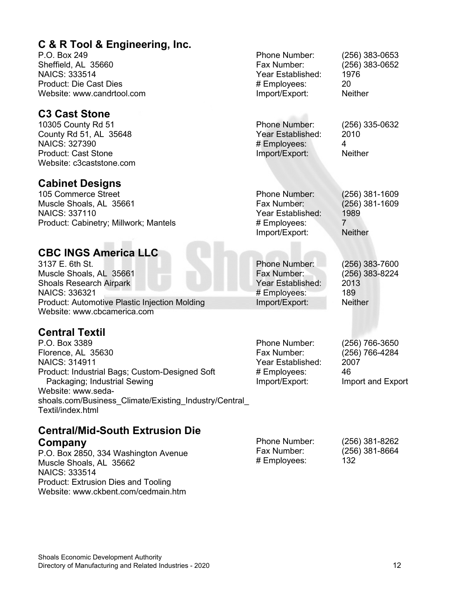#### **C & R Tool & Engineering, Inc.**

P.O. Box 249 Sheffield, AL 35660 NAICS: 333514 Product: Die Cast Dies Website: www.candrtool.com

#### **C3 Cast Stone**

10305 County Rd 51 County Rd 51, AL 35648 NAICS: 327390 Product: Cast Stone Website: c3caststone.com

#### **Cabinet Designs**

105 Commerce Street Muscle Shoals, AL 35661 NAICS: 337110 Product: Cabinetry; Millwork; Mantels

#### **CBC INGS America LLC**

3137 E. 6th St. Muscle Shoals, AL 35661 Shoals Research Airpark NAICS: 336321 Product: Automotive Plastic Injection Molding Website: www.cbcamerica.com

#### **Central Textil**

P.O. Box 3389 Florence, AL 35630 NAICS: 314911 Product: Industrial Bags; Custom-Designed Soft Packaging; Industrial Sewing Website: www.sedashoals.com/Business\_Climate/Existing\_Industry/Central Textil/index.html

#### **Central/Mid-South Extrusion Die Company**

P.O. Box 2850, 334 Washington Avenue Muscle Shoals, AL 35662 NAICS: 333514 Product: Extrusion Dies and Tooling Website: www.ckbent.com/cedmain.htm Fax Number: (256) 381-8664 # Employees: 132

Phone Number: (256) 383-0653 Fax Number: (256) 383-0652 Year Established: 1976 # Employees: 20 Import/Export: Neither

Phone Number: (256) 335-0632 Year Established: 2010 # Employees: 4 Import/Export: Neither

Phone Number: (256) 381-1609 Fax Number: (256) 381-1609 Year Established: 1999<br># Employees: 2 # Employees: Import/Export: Neither

Phone Number: (256) 383-7600 Fax Number: (256) 383-8224 Year Established: # Employees: 189 Import/Export: Neither

Phone Number: (256) 766-3650 Fax Number: (256) 766-4284 Year Established: # Employees: 46<br>Import/Export: Imp

Phone Number: (256) 381-8262

Import and Export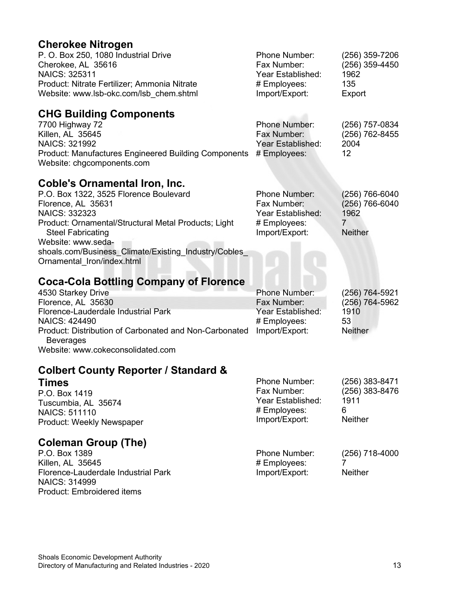### **Cherokee Nitrogen**

| יוספט וחור טטווטוש<br>P. O. Box 250, 1080 Industrial Drive<br>Cherokee, AL 35616<br><b>NAICS: 325311</b><br>Product: Nitrate Fertilizer; Ammonia Nitrate<br>Website: www.lsb-okc.com/lsb chem.shtml                                                                                                                           | Phone Number:<br>Fax Number:<br>Year Established:<br># Employees:<br>Import/Export:        | (256) 359-7206<br>(256) 359-4450<br>1962<br>135<br>Export                    |
|-------------------------------------------------------------------------------------------------------------------------------------------------------------------------------------------------------------------------------------------------------------------------------------------------------------------------------|--------------------------------------------------------------------------------------------|------------------------------------------------------------------------------|
| <b>CHG Building Components</b><br>7700 Highway 72<br>Killen, AL 35645<br><b>NAICS: 321992</b><br><b>Product: Manufactures Engineered Building Components</b><br>Website: chgcomponents.com                                                                                                                                    | <b>Phone Number:</b><br>Fax Number:<br>Year Established:<br># Employees:                   | (256) 757-0834<br>(256) 762-8455<br>2004<br>12                               |
| <b>Coble's Ornamental Iron, Inc.</b><br>P.O. Box 1322, 3525 Florence Boulevard<br>Florence, AL 35631<br><b>NAICS: 332323</b><br>Product: Ornamental/Structural Metal Products; Light<br><b>Steel Fabricating</b><br>Website: www.seda-<br>shoals.com/Business_Climate/Existing_Industry/Cobles_<br>Ornamental Iron/index.html | Phone Number:<br>Fax Number:<br>Year Established:<br># Employees:<br>Import/Export:        | (256) 766-6040<br>(256) 766-6040<br>1962<br>$\overline{7}$<br><b>Neither</b> |
| <b>Coca-Cola Bottling Company of Florence</b><br>4530 Starkey Drive<br>Florence, AL 35630<br>Florence-Lauderdale Industrial Park<br><b>NAICS: 424490</b><br>Product: Distribution of Carbonated and Non-Carbonated<br><b>Beverages</b><br>Website: www.cokeconsolidated.com                                                   | <b>Phone Number:</b><br>Fax Number:<br>Year Established:<br># Employees:<br>Import/Export: | (256) 764-5921<br>(256) 764-5962<br>1910<br>53<br><b>Neither</b>             |
| <b>Colbert County Reporter / Standard &amp;</b><br>Times<br>P.O. Box 1419<br>Tuscumbia, AL 35674<br><b>NAICS: 511110</b><br>Product: Weekly Newspaper                                                                                                                                                                         | Phone Number:<br>Fax Number:<br>Year Established:<br># Employees:<br>Import/Export:        | (256) 383-8471<br>(256) 383-8476<br>1911<br>6<br><b>Neither</b>              |
| <b>Coleman Group (The)</b><br>P.O. Box 1389<br>Killen, AL 35645<br>Florence-Lauderdale Industrial Park<br><b>NAICS: 314999</b>                                                                                                                                                                                                | Phone Number:<br># Employees:<br>Import/Export:                                            | (256) 718-4000<br>7<br><b>Neither</b>                                        |

Product: Embroidered items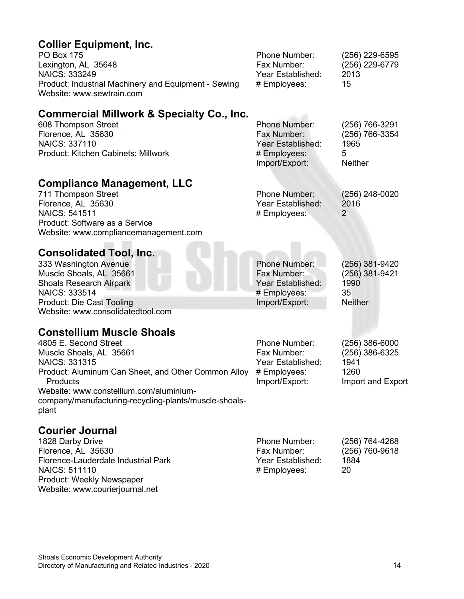### **Collier Equipment, Inc.**

| <b>PO Box 175</b>                                                                 | <b>Phone Number:</b> | (256) 229-6595 |
|-----------------------------------------------------------------------------------|----------------------|----------------|
| Lexington, AL 35648                                                               | Fax Number:          | (256) 229-6779 |
| <b>NAICS: 333249</b>                                                              | Year Established:    | 2013           |
| Product: Industrial Machinery and Equipment - Sewing<br>Website: www.sewtrain.com | # Employees:         | 15             |

#### **Commercial Millwork & Specialty Co., Inc.**

| <b>Commercial Millwork &amp; Specialty Co., Inc.</b> |                      |                |
|------------------------------------------------------|----------------------|----------------|
| 608 Thompson Street                                  | <b>Phone Number:</b> | (256) 766-3291 |
| Florence, AL 35630                                   | Fax Number:          | (256) 766-3354 |
| <b>NAICS: 337110</b>                                 | Year Established:    | 1965           |
| Product: Kitchen Cabinets; Millwork                  | # Employees:         | 5              |
|                                                      | Import/Export:       | <b>Neither</b> |

#### **Compliance Management, LLC**

| 711 Thompson Street                   | Phone Number:     | $(256)$ 248-0020 |
|---------------------------------------|-------------------|------------------|
| Florence, AL 35630                    | Year Established: | 2016             |
| NAICS: 541511                         | # Employees:      |                  |
| Product: Software as a Service        |                   |                  |
| Website: www.compliancemanagement.com |                   |                  |
|                                       |                   |                  |

# **Consolidated Tool, Inc. Consolidated Tool, Inc.**

| 333 Washington Avenue             | <b>Phone Number:</b> | (256) 381-9420 |
|-----------------------------------|----------------------|----------------|
| Muscle Shoals, AL 35661           | Fax Number:          | (256) 381-9421 |
| <b>Shoals Research Airpark</b>    | Year Established:    | 1990           |
| NAICS: 333514                     | # Employees:         | 35             |
| Product: Die Cast Tooling         | Import/Export:       | <b>Neither</b> |
| Website: www.consolidatedtool.com |                      |                |

#### **Constellium Muscle Shoals**

| Year Established: |
|-------------------|
|                   |
|                   |
|                   |
|                   |
|                   |
|                   |

#### **Courier Journal**

| 1828 Darby Drive                    | <b>Phone Number:</b> | (256) 764-4268   |
|-------------------------------------|----------------------|------------------|
| Florence, AL 35630                  | Fax Number:          | $(256)$ 760-9618 |
| Florence-Lauderdale Industrial Park | Year Established:    | 1884             |
| <b>NAICS: 511110</b>                | # Employees:         | 20               |
| Product: Weekly Newspaper           |                      |                  |
| Website: www.courierjournal.net     |                      |                  |

(256) 386-6000 (256) 386-6325

Import and Export

1941 1260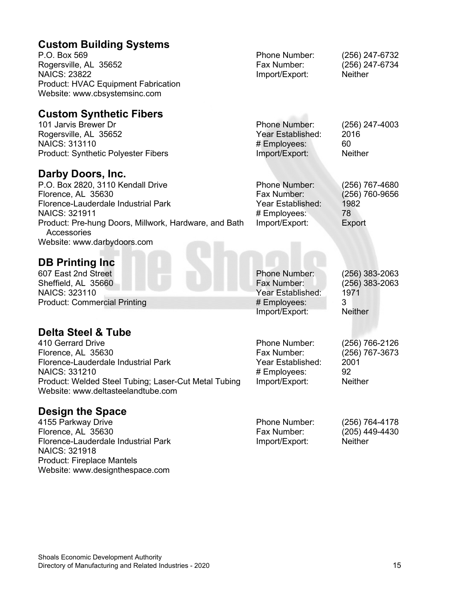#### **Custom Building Systems**

| P.O. Box 569                               | <b>Phone Number:</b> | (256) 247-6732 |
|--------------------------------------------|----------------------|----------------|
| Rogersville, AL 35652                      | Fax Number:          | (256) 247-6734 |
| <b>NAICS: 23822</b>                        | Import/Export:       | <b>Neither</b> |
| <b>Product: HVAC Equipment Fabrication</b> |                      |                |
| Website: www.cbsystemsinc.com              |                      |                |
|                                            |                      |                |

#### **Custom Synthetic Fibers**

| <b>Phone Number:</b> | $(256)$ 247-4003 |
|----------------------|------------------|
| Year Established:    | 2016             |
| # Employees:         | 60               |
| Import/Export:       | <b>Neither</b>   |
|                      |                  |

#### **Darby Doors, Inc.**

| P.O. Box 2820, 3110 Kendall Drive                                    | Phone Number:     | (256) 767-4680 |
|----------------------------------------------------------------------|-------------------|----------------|
| Florence, AL 35630                                                   | Fax Number:       | (256) 760-9656 |
| Florence-Lauderdale Industrial Park                                  | Year Established: | 1982           |
| NAICS: 321911                                                        | # Employees:      | 78             |
| Product: Pre-hung Doors, Millwork, Hardware, and Bath<br>Accessories | Import/Export:    | Export         |
| Website: www.darbydoors.com                                          |                   |                |

#### **DB Printing Inc**

607 East 2nd Street Sheffield, AL 35660 NAICS: 323110 Product: Commercial Printing

#### **Delta Steel & Tube**

410 Gerrard Drive Florence, AL 35630 Florence-Lauderdale Industrial Park NAICS: 331210 Product: Welded Steel Tubing; Laser-Cut Metal Tubing Website: www.deltasteelandtube.com

#### **Design the Space**

4155 Parkway Drive Florence, AL 35630 Florence-Lauderdale Industrial Park NAICS: 321918 Product: Fireplace Mantels Website: www.designthespace.com

Phone Number: (256) 383-2063 Year Established: # Employees: 3 Import/Export: Neither

Phone Number: (256) 766-2126 Fax Number: (256) 767-3673 Year Established: 2001<br># Employees: 92 # Employees: Import/Export: Neither

(256) 383-2063<br>1971

Phone Number: (256) 764-4178 (205) 449-4430 Import/Export: Neither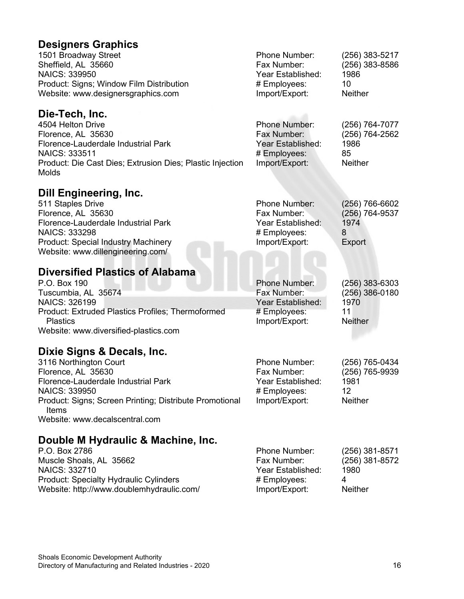| <b>Designers Graphics</b>                                                      |                                |                  |
|--------------------------------------------------------------------------------|--------------------------------|------------------|
| 1501 Broadway Street                                                           | Phone Number:                  | (256) 383-5217   |
| Sheffield, AL 35660                                                            | Fax Number:                    | (256) 383-8586   |
| NAICS: 339950                                                                  | Year Established:              | 1986<br>10       |
| Product: Signs; Window Film Distribution<br>Website: www.designersgraphics.com | # Employees:<br>Import/Export: | <b>Neither</b>   |
|                                                                                |                                |                  |
| Die-Tech, Inc.                                                                 |                                |                  |
| 4504 Helton Drive                                                              | Phone Number:                  | (256) 764-7077   |
| Florence, AL 35630                                                             | Fax Number:                    | (256) 764-2562   |
| Florence-Lauderdale Industrial Park                                            | Year Established:              | 1986             |
| <b>NAICS: 333511</b>                                                           | # Employees:                   | 85               |
| Product: Die Cast Dies; Extrusion Dies; Plastic Injection                      | Import/Export:                 | <b>Neither</b>   |
| Molds                                                                          |                                |                  |
| <b>Dill Engineering, Inc.</b>                                                  |                                |                  |
| 511 Staples Drive                                                              | Phone Number:                  | (256) 766-6602   |
| Florence, AL 35630                                                             | Fax Number:                    | (256) 764-9537   |
| Florence-Lauderdale Industrial Park                                            | Year Established:              | 1974             |
| NAICS: 333298                                                                  | # Employees:                   | 8                |
| <b>Product: Special Industry Machinery</b>                                     | Import/Export:                 | Export           |
| Website: www.dillengineering.com/                                              |                                |                  |
| <b>Diversified Plastics of Alabama</b>                                         |                                |                  |
| P.O. Box 190                                                                   | <b>Phone Number:</b>           | $(256)$ 383-6303 |
| Tuscumbia, AL 35674                                                            | Fax Number:                    | (256) 386-0180   |
| NAICS: 326199                                                                  | Year Established:              | 1970             |
| Product: Extruded Plastics Profiles; Thermoformed                              | # Employees:                   | 11               |
| <b>Plastics</b>                                                                | Import/Export:                 | <b>Neither</b>   |
| Website: www.diversified-plastics.com                                          |                                |                  |
| Dixie Signs & Decals, Inc.                                                     |                                |                  |
| 3116 Northington Court                                                         | Phone Number:                  | (256) 765-0434   |
| Florence, AL 35630                                                             | Fax Number:                    | (256) 765-9939   |
| Florence-Lauderdale Industrial Park                                            | Year Established:              | 1981             |
| NAICS: 339950                                                                  | # Employees:                   | 12               |
| Product: Signs; Screen Printing; Distribute Promotional<br>Items               | Import/Export:                 | <b>Neither</b>   |
| Website: www.decalscentral.com                                                 |                                |                  |
| Double M Hydraulic & Machine, Inc.                                             |                                |                  |
| P.O. Box 2786                                                                  | Phone Number:                  | (256) 381-8571   |
| Muscle Shoals, AL 35662                                                        | Fax Number:                    | (256) 381-8572   |

Muscle Shoals, AL 35662 NAICS: 332710 Product: Specialty Hydraulic Cylinders Website: http://www.doublemhydraulic.com/

Year Established: 1980<br># Employees: 4 # Employees: 4

Import/Export: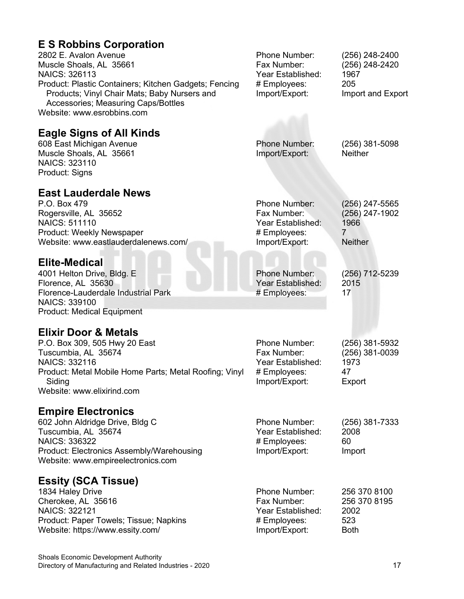## **E S Robbins Corporation**

| 2802 E. Avalon Avenue<br>Muscle Shoals, AL 35661<br><b>NAICS: 326113</b><br>Product: Plastic Containers; Kitchen Gadgets; Fencing<br>Products; Vinyl Chair Mats; Baby Nursers and<br>Accessories; Measuring Caps/Bottles<br>Website: www.esrobbins.com | Phone Number:<br>Fax Number:<br>Year Established:<br># Employees:<br>Import/Export: | (256) 248-2400<br>(256) 248-2420<br>1967<br>205<br>Import and Export |
|--------------------------------------------------------------------------------------------------------------------------------------------------------------------------------------------------------------------------------------------------------|-------------------------------------------------------------------------------------|----------------------------------------------------------------------|
| <b>Eagle Signs of All Kinds</b><br>608 East Michigan Avenue<br>Muscle Shoals, AL 35661<br><b>NAICS: 323110</b><br>Product: Signs                                                                                                                       | <b>Phone Number:</b><br>Import/Export:                                              | $(256)$ 381-5098<br><b>Neither</b>                                   |
| <b>East Lauderdale News</b><br>P.O. Box 479<br>Rogersville, AL 35652<br><b>NAICS: 511110</b><br>Product: Weekly Newspaper<br>Website: www.eastlauderdalenews.com/                                                                                      | Phone Number:<br>Fax Number:<br>Year Established:<br># Employees:<br>Import/Export: | $(256)$ 247-5565<br>(256) 247-1902<br>1966<br>7<br><b>Neither</b>    |
| <b>Elite-Medical</b><br>4001 Helton Drive, Bldg. E<br>Florence, AL 35630<br>Florence-Lauderdale Industrial Park<br>NAICS: 339100<br><b>Product: Medical Equipment</b>                                                                                  | <b>Phone Number:</b><br>Year Established:<br># Employees:                           | (256) 712-5239<br>2015<br>17                                         |
| <b>Elixir Door &amp; Metals</b><br>P.O. Box 309, 505 Hwy 20 East<br>Tuscumbia, AL 35674<br><b>NAICS: 332116</b><br>Product: Metal Mobile Home Parts; Metal Roofing; Vinyl<br>Siding<br>Website: www.elixirind.com                                      | Phone Number:<br>Fax Number:<br>Year Established:<br># Employees:<br>Import/Export: | (256) 381-5932<br>(256) 381-0039<br>1973<br>47<br>Export             |
| <b>Empire Electronics</b><br>602 John Aldridge Drive, Bldg C<br>Tuscumbia, AL 35674<br>NAICS: 336322<br><b>Product: Electronics Assembly/Warehousing</b><br>Website: www.empireelectronics.com                                                         | Phone Number:<br>Year Established:<br># Employees:<br>Import/Export:                | $(256)$ 381-7333<br>2008<br>60<br>Import                             |
| <b>Essity (SCA Tissue)</b><br>1834 Haley Drive<br>Cherokee, AL 35616<br><b>NAICS: 322121</b><br>Product: Paper Towels; Tissue; Napkins<br>Website: https://www.essity.com/                                                                             | Phone Number:<br>Fax Number:<br>Year Established:<br># Employees:<br>Import/Export: | 256 370 8100<br>256 370 8195<br>2002<br>523<br><b>Both</b>           |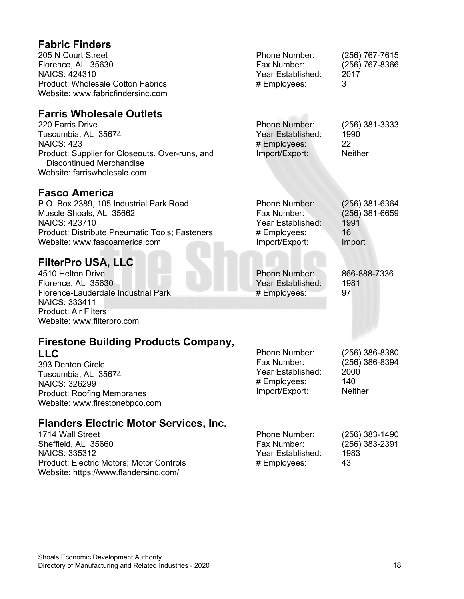| <b>Fabric Finders</b><br>205 N Court Street<br>Florence, AL 35630<br><b>NAICS: 424310</b><br><b>Product: Wholesale Cotton Fabrics</b><br>Website: www.fabricfindersinc.com                                            | Phone Number:<br>Fax Number:<br>Year Established:<br># Employees:                          | (256) 767-7615<br>(256) 767-8366<br>2017<br>3                |
|-----------------------------------------------------------------------------------------------------------------------------------------------------------------------------------------------------------------------|--------------------------------------------------------------------------------------------|--------------------------------------------------------------|
| <b>Farris Wholesale Outlets</b><br>220 Farris Drive<br>Tuscumbia, AL 35674<br><b>NAICS: 423</b><br>Product: Supplier for Closeouts, Over-runs, and<br><b>Discontinued Merchandise</b><br>Website: farriswholesale.com | <b>Phone Number:</b><br>Year Established:<br># Employees:<br>Import/Export:                | $(256)$ 381-3333<br>1990<br>22<br><b>Neither</b>             |
| <b>Fasco America</b><br>P.O. Box 2389, 105 Industrial Park Road<br>Muscle Shoals, AL 35662<br><b>NAICS: 423710</b><br>Product: Distribute Pneumatic Tools; Fasteners<br>Website: www.fascoamerica.com                 | <b>Phone Number:</b><br>Fax Number:<br>Year Established:<br># Employees:<br>Import/Export: | $(256)$ 381-6364<br>$(256)$ 381-6659<br>1991<br>16<br>Import |
| <b>FilterPro USA, LLC</b><br>4510 Helton Drive<br>Florence, AL 35630<br>Florence-Lauderdale Industrial Park<br><b>NAICS: 333411</b><br><b>Product: Air Filters</b><br>Website: www.filterpro.com                      | Phone Number:<br>Year Established:<br># Employees:                                         | 866-888-7336<br>1981<br>97                                   |
| <b>Firestone Building Products Company,</b><br><b>LLC</b><br>393 Denton Circle<br>Tuscumbia, AL 35674<br><b>NAICS: 326299</b><br><b>Product: Roofing Membranes</b><br>Website: www.firestonebpco.com                  | Phone Number:<br>Fax Number:<br>Year Established:<br># Employees:<br>Import/Export:        | (256) 386-8380<br>$(256)$ 386-8394<br>2000<br>140<br>Neither |
| <b>Flanders Electric Motor Services, Inc.</b><br>1714 Wall Street<br>Sheffield, AL 35660<br><b>NAICS: 335312</b><br>Product: Electric Motors; Motor Controls                                                          | Phone Number:<br>Fax Number:<br>Year Established:<br># Employees:                          | (256) 383-1490<br>$(256)$ 383-2391<br>1983<br>43             |

Website: https://www.flandersinc.com/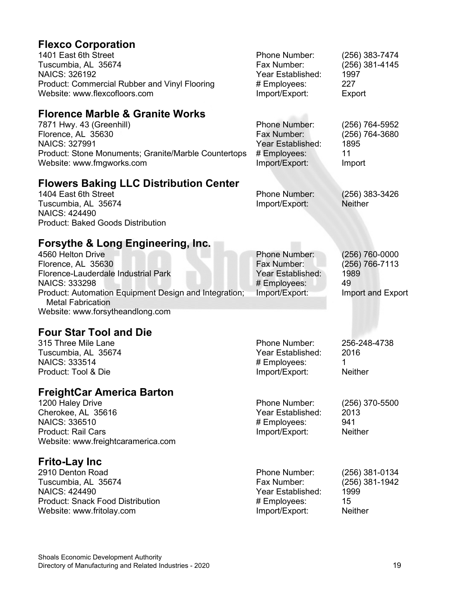## **Flexco Corporation**

| 1401 East 6th Street<br>Tuscumbia, AL 35674                  | Phone Number:<br>Fax Number: | (256) 383-7474<br>(256) 381-4145 |
|--------------------------------------------------------------|------------------------------|----------------------------------|
| NAICS: 326192                                                | Year Established:            | 1997                             |
| Product: Commercial Rubber and Vinyl Flooring                | # Employees:                 | 227                              |
| Website: www.flexcofloors.com                                | Import/Export:               | Export                           |
| <b>Florence Marble &amp; Granite Works</b>                   |                              |                                  |
| 7871 Hwy. 43 (Greenhill)                                     | Phone Number:                | (256) 764-5952                   |
| Florence, AL 35630                                           | Fax Number:                  | (256) 764-3680                   |
| <b>NAICS: 327991</b>                                         | Year Established:            | 1895                             |
| Product: Stone Monuments; Granite/Marble Countertops         | # Employees:                 | 11                               |
| Website: www.fmgworks.com                                    | Import/Export:               | Import                           |
| <b>Flowers Baking LLC Distribution Center</b>                |                              |                                  |
| 1404 East 6th Street                                         | Phone Number:                | $(256)$ 383-3426                 |
| Tuscumbia, AL 35674                                          | Import/Export:               | <b>Neither</b>                   |
| <b>NAICS: 424490</b>                                         |                              |                                  |
| <b>Product: Baked Goods Distribution</b>                     |                              |                                  |
| Forsythe & Long Engineering, Inc.                            |                              |                                  |
| 4560 Helton Drive                                            | <b>Phone Number:</b>         | (256) 760-0000                   |
| Florence, AL 35630                                           | Fax Number:                  | (256) 766-7113                   |
| Florence-Lauderdale Industrial Park                          | Year Established:            | 1989                             |
| NAICS: 333298                                                | # Employees:                 | 49                               |
| Product: Automation Equipment Design and Integration;        | Import/Export:               | Import and Export                |
| <b>Metal Fabrication</b><br>Website: www.forsytheandlong.com |                              |                                  |
|                                                              |                              |                                  |
| <b>Four Star Tool and Die</b>                                |                              |                                  |
| 315 Three Mile Lane                                          | Phone Number:                | 256-248-4738                     |
| Tuscumbia, AL 35674                                          | Year Established:            | 2016                             |
| <b>NAICS: 333514</b><br>Product: Tool & Die                  | # Employees:                 | 1<br><b>Neither</b>              |
|                                                              | Import/Export:               |                                  |
| <b>FreightCar America Barton</b>                             |                              |                                  |
| 1200 Haley Drive                                             | Phone Number:                | $(256)$ 370-5500                 |
| Cherokee, AL 35616                                           | Year Established:            | 2013                             |
| NAICS: 336510                                                | # Employees:                 | 941                              |
| <b>Product: Rail Cars</b>                                    | Import/Export:               | <b>Neither</b>                   |
| Website: www.freightcaramerica.com                           |                              |                                  |
| <b>Frito-Lay Inc</b>                                         |                              |                                  |
| 2910 Denton Road                                             | Phone Number:                | (256) 381-0134                   |
| Tuscumbia, AL 35674                                          | Fax Number:                  | (256) 381-1942                   |
| <b>NAICS: 424490</b>                                         | Year Established:            | 1999                             |
| <b>Product: Snack Food Distribution</b>                      | # Employees:                 | 15                               |
| Website: www.fritolay.com                                    | Import/Export:               | Neither                          |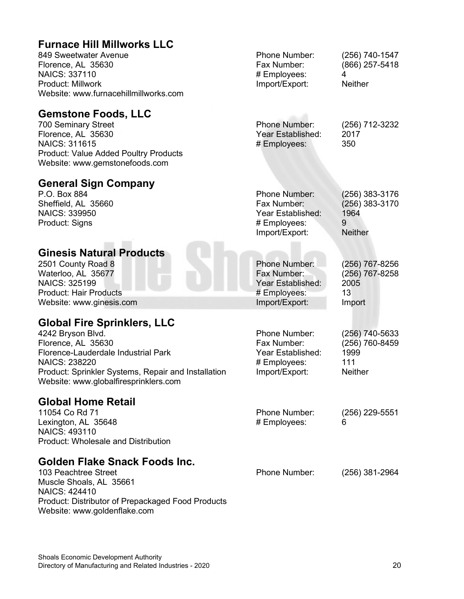#### **Furnace Hill Millworks LLC** 849 Sweetwater Avenue Florence, AL 35630 NAICS: 337110 Product: Millwork Website: www.furnacehillmillworks.com Phone Number: (256) 740-1547 Fax Number: (866) 257-5418 # Employees: 4 Import/Export: Neither **Gemstone Foods, LLC** 700 Seminary Street Florence, AL 35630 NAICS: 311615 Product: Value Added Poultry Products Website: www.gemstonefoods.com Phone Number: (256) 712-3232 Year Established: 2017 # Employees: 350 **General Sign Company** P.O. Box 884 Sheffield, AL 35660 NAICS: 339950 Product: Signs Phone Number: (256) 383-3176 Fax Number: (256) 383-3170 Year Established: 1964<br>Employees: 9 # Employees: Import/Export: Neither **Ginesis Natural Products** 2501 County Road 8 Waterloo, AL 35677 NAICS: 325199 Product: Hair Products Website: www.ginesis.com Phone Number: (256) 767-8256 Fax Number: (256) 767-8258 Year Established: # Employees: 13 Import/Export: Import **Global Fire Sprinklers, LLC** 4242 Bryson Blvd. Florence, AL 35630 Florence-Lauderdale Industrial Park NAICS: 238220 Product: Sprinkler Systems, Repair and Installation Website: www.globalfiresprinklers.com Phone Number: (256) 740-5633<br>Fax Number: (256) 760-8459 (256) 760-8459 Year Established: 1999 # Employees: 111 Import/Export: **Global Home Retail** 11054 Co Rd 71 Lexington, AL 35648 NAICS: 493110 Product: Wholesale and Distribution Phone Number: (256) 229-5551 # Employees: **Golden Flake Snack Foods Inc.** 103 Peachtree Street Muscle Shoals, AL 35661 NAICS: 424410 Phone Number: (256) 381-2964

Website: www.goldenflake.com

Product: Distributor of Prepackaged Food Products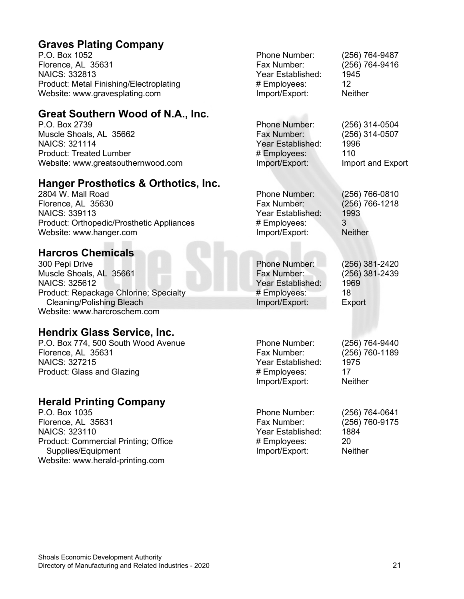#### **Graves Plating Company**

P.O. Box 1052 Florence, AL 35631 NAICS: 332813 Product: Metal Finishing/Electroplating Website: www.gravesplating.com

#### **Great Southern Wood of N.A., Inc.**

P.O. Box 2739 Muscle Shoals, AL 35662 NAICS: 321114 Product: Treated Lumber Website: www.greatsouthernwood.com

#### **Hanger Prosthetics & Orthotics, Inc.**

2804 W. Mall Road Florence, AL 35630 NAICS: 339113 Product: Orthopedic/Prosthetic Appliances Website: www.hanger.com

#### **Harcros Chemicals**

300 Pepi Drive Muscle Shoals, AL 35661 NAICS: 325612 Product: Repackage Chlorine; Specialty Cleaning/Polishing Bleach Website: www.harcroschem.com

#### **Hendrix Glass Service, Inc.**

P.O. Box 774, 500 South Wood Avenue Florence, AL 35631 NAICS: 327215 Product: Glass and Glazing

#### **Herald Printing Company**

P.O. Box 1035 Florence, AL 35631 NAICS: 323110 Product: Commercial Printing; Office Supplies/Equipment Website: www.herald-printing.com

Phone Number: (256) 764-9487 Fax Number: (256) 764-9416 Year Established: 1945<br># Emplovees: 12 # Employees: 12<br>
Import/Export: Neither Import/Export: Phone Number: (256) 314-0504 Fax Number: (256) 314-0507 Year Established: 1996 # Employees: 110 Import and Export Phone Number: (256) 766-0810 Fax Number: (256) 766-1218 Year Established: 1993<br># Employees: 3 # Employees: Import/Export: Neither Phone Number: (256) 381-2420 Fax Number: (256) 381-2439 Year Established: # Employees: 18 Import/Export: Export Phone Number: (256) 764-9440 Fax Number: (256) 760-1189 Year Established: 1975<br># Employees: 17 # Employees: Import/Export: Neither Phone Number: (256) 764-0641<br>Fax Number: (256) 760-9175 (256) 760-9175 Year Established: 1884<br># Emplovees: 20 # Employees: Import/Export: Neither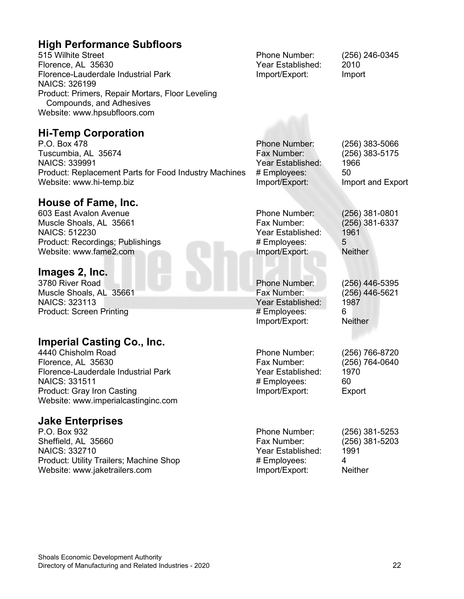#### **High Performance Subfloors**

515 Wilhite Street Florence, AL 35630 Florence-Lauderdale Industrial Park NAICS: 326199 Product: Primers, Repair Mortars, Floor Leveling Compounds, and Adhesives Website: www.hpsubfloors.com

**Hi-Temp Corporation**

P.O. Box 478 Tuscumbia, AL 35674 NAICS: 339991 Product: Replacement Parts for Food Industry Machines Website: www.hi-temp.biz

#### **House of Fame, Inc.**

603 East Avalon Avenue Muscle Shoals, AL 35661 NAICS: 512230 Product: Recordings; Publishings Website: www.fame2.com

#### **Images 2, Inc.**

3780 River Road Muscle Shoals, AL 35661 NAICS: 323113 Product: Screen Printing

#### **Imperial Casting Co., Inc.**

4440 Chisholm Road Florence, AL 35630 Florence-Lauderdale Industrial Park NAICS: 331511 Product: Gray Iron Casting Website: www.imperialcastinginc.com

#### **Jake Enterprises**

P.O. Box 932 Sheffield, AL 35660 NAICS: 332710 Product: Utility Trailers; Machine Shop Website: www.jaketrailers.com

Phone Number: (256) 246-0345 Year Established: 2010 Import/Export: Import

#### Phone Number: (256) 383-5066 Fax Number: (256) 383-5175 Year Established: 1966<br># Employees: 50 # Employees:

Import/Export: Import and Export

(256) 381-6337

Phone Number: (256) 381-0801 Year Established: 1961 # Employees: 5 Import/Export: Neither

Phone Number: (256) 446-5395 Fax Number: (256) 446-5621 Year Established: # Employees: 6 Import/Export: Neither

Phone Number: (256) 766-8720 Fax Number: (256) 764-0640 Year Established: # Employees: 60<br>
Import/Export: Export Import/Export:

Import/Export:

Phone Number: (256) 381-5253 Fax Number: (256) 381-5203 Year Established: # Employees: 4<br>
Import/Export: Neither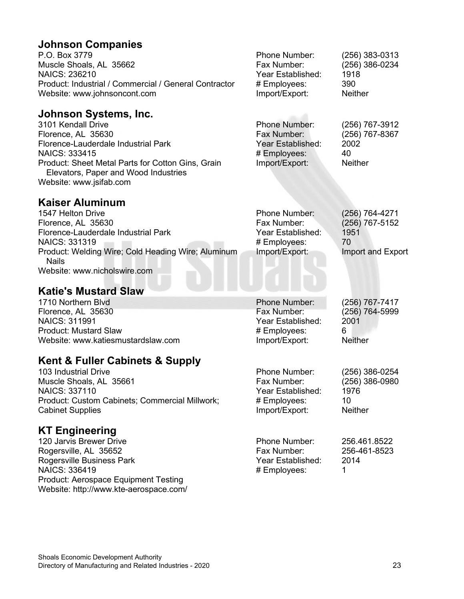#### **Johnson Companies**

| P.O. Box 3779                                         | Phone Number:     | $(256)$ 383-0313 |
|-------------------------------------------------------|-------------------|------------------|
| Muscle Shoals, AL 35662                               | Fax Number:       | $(256)$ 386-0234 |
| NAICS: 236210                                         | Year Established: | 1918             |
| Product: Industrial / Commercial / General Contractor | # Employees:      | 390              |
| Website: www.johnsoncont.com                          | Import/Export:    | <b>Neither</b>   |
|                                                       |                   |                  |

#### **Johnson Systems, Inc.**

3101 Kendall Drive Florence, AL 35630 Florence-Lauderdale Industrial Park NAICS: 333415 Product: Sheet Metal Parts for Cotton Gins, Grain Elevators, Paper and Wood Industries Website: www.jsifab.com Phone Number: (256) 767-3912 Fax Number: (256) 767-8367 Year Established: 2002 # Employees: 40<br>Import/Export: Neither Import/Export:

#### **Kaiser Aluminum**

| 1547 Helton Drive                                                  | <b>Phone Number:</b> | (256) 764-4271    |
|--------------------------------------------------------------------|----------------------|-------------------|
| Florence, AL 35630                                                 | Fax Number:          | (256) 767-5152    |
| Florence-Lauderdale Industrial Park                                | Year Established:    | 1951              |
| <b>NAICS: 331319</b>                                               | # Employees:         | 70                |
| Product: Welding Wire; Cold Heading Wire; Aluminum<br><b>Nails</b> | Import/Export:       | Import and Export |
| Website: www.nicholswire.com                                       |                      |                   |

### **Katie's Mustard Slaw**

| 1710 Northern Blvd                 | Phone Number:     | (256) 767-7417 |
|------------------------------------|-------------------|----------------|
| Florence, AL 35630                 | Fax Number:       | (256) 764-5999 |
| <b>NAICS: 311991</b>               | Year Established: | 2001           |
| <b>Product: Mustard Slaw</b>       | # Employees:      | 6              |
| Website: www.katiesmustardslaw.com | Import/Export:    | <b>Neither</b> |
|                                    |                   |                |

#### **Kent & Fuller Cabinets & Supply**

103 Industrial Drive Muscle Shoals, AL 35661 NAICS: 337110 Product: Custom Cabinets; Commercial Millwork; Cabinet Supplies

#### **KT Engineering**

120 Jarvis Brewer Drive Rogersville, AL 35652 Rogersville Business Park NAICS: 336419 Product: Aerospace Equipment Testing Website: http://www.kte-aerospace.com/

| (256) 767-7417 |
|----------------|
| (256) 764-5999 |
| 2001           |
| 6              |
| Neither        |

Phone Number: (256) 386-0254<br>Fax Number: (256) 386-0980 (256) 386-0980<br>1976 Year Established: # Employees: 10 Import/Export: Neither

Phone Number: 256.461.8522<br>Fax Number: 256-461-8523 256-461-8523 Year Established: 2014 # Employees: 1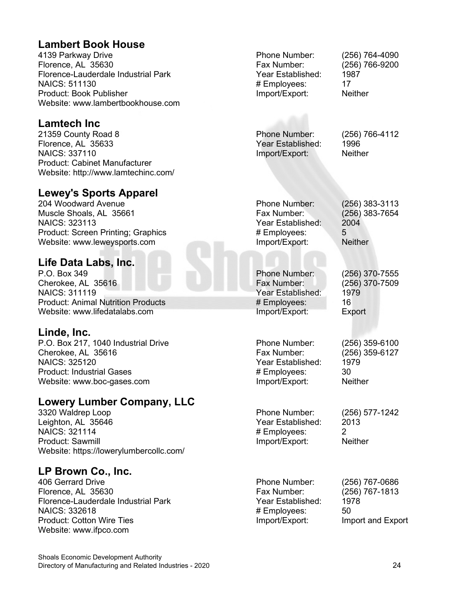#### **Lambert Book House**

4139 Parkway Drive Florence, AL 35630 Florence-Lauderdale Industrial Park NAICS: 511130 Product: Book Publisher Website: www.lambertbookhouse.com

#### **Lamtech Inc**

21359 County Road 8 Florence, AL 35633 NAICS: 337110 Product: Cabinet Manufacturer Website: http://www.lamtechinc.com/

#### **Lewey's Sports Apparel**

204 Woodward Avenue Muscle Shoals, AL 35661 NAICS: 323113 Product: Screen Printing; Graphics Website: www.leweysports.com

#### **Life Data Labs, Inc.**

P.O. Box 349 Cherokee, AL 35616 NAICS: 311119 Product: Animal Nutrition Products Website: www.lifedatalabs.com

#### **Linde, Inc.**

P.O. Box 217, 1040 Industrial Drive Cherokee, AL 35616 NAICS: 325120 Product: Industrial Gases Website: www.boc-gases.com

#### **Lowery Lumber Company, LLC**

3320 Waldrep Loop Leighton, AL 35646 NAICS: 321114 Product: Sawmill Website: https://lowerylumbercollc.com/

#### **LP Brown Co., Inc.**

406 Gerrard Drive Florence, AL 35630 Florence-Lauderdale Industrial Park NAICS: 332618 Product: Cotton Wire Ties Website: www.ifpco.com

Phone Number: (256) 764-4090 Fax Number: (256) 766-9200 Year Established: 1987<br># Emplovees: 17 # Employees: Import/Export: Neither

Phone Number: (256) 766-4112 Year Established: 1996 Import/Export: Neither

Phone Number: (256) 383-3113<br>Fax Number: (256) 383-7654 (256) 383-7654<br>2004 Year Established: # Employees: 5 Import/Export: Neither

Phone Number: (256) 370-7555 Year Established: 1979 # Employees: 16 Import/Export: Export

Phone Number: (256) 359-6100 Fax Number: (256) 359-6127 Year Established: 1979<br># Employees: 30 # Employees: Import/Export: Neither

Phone Number: (256) 577-1242<br>Year Established: (2013) Year Established: # Employees: 2 Import/Export: Neither

 $(256)$  370-7509

Phone Number: (256) 767-0686 Fax Number: (256) 767-1813 Year Established: 1978 # Employees: 50 Import/Export: Import and Export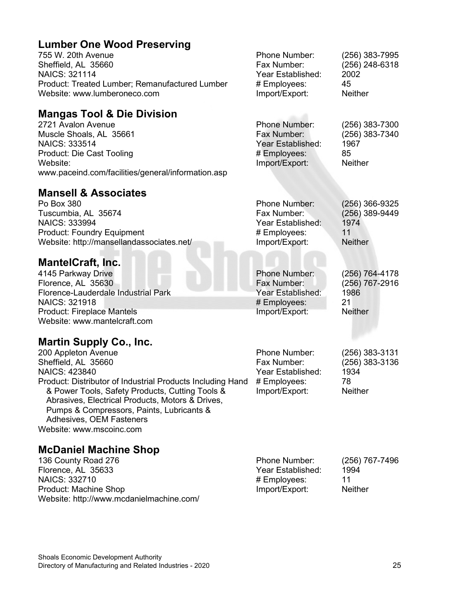#### **Lumber One Wood Preserving**

755 W. 20th Avenue Sheffield, AL 35660 NAICS: 321114 Product: Treated Lumber: F Website: www.lumberoneco.

#### **Mangas Tool & Die I**

2721 Avalon Avenue Muscle Shoals, AL 35661 NAICS: 333514 Product: Die Cast Tooling Website: www.paceind.com/facilities/

#### **Mansell & Associates**

Po Box 380 Tuscumbia, AL 35674 NAICS: 333994 Product: Foundry Equipmer Website: http://mansellanda

#### **MantelCraft, Inc.**

4145 Parkway Drive Florence, AL 35630 Florence-Lauderdale Indust NAICS: 321918 Product: Fireplace Mantels Website: www.mantelcraft.c

#### **Martin Supply Co., In**

200 Appleton Avenue Sheffield, AL 35660 NAICS: 423840 Product: Distributor of Industrial Product & Power Tools, Safety Pr Abrasives, Electrical Prod Pumps & Compressors, F Adhesives, OEM Fastene Website: www.mscoinc.com

#### **McDaniel Machine Shop**

136 County Road 276 Florence, AL 35633 NAICS: 332710 Product: Machine Shop Website: http://www.mcdanielmachine.com/

| Remanufactured Lumber<br>o.com                                                                                                   | Phone Number:<br>Fax Number:<br>Year Established:<br># Employees:<br>Import/Export: | (256) 383-7995<br>(256) 248-6318<br>2002<br>45<br><b>Neither</b>   |
|----------------------------------------------------------------------------------------------------------------------------------|-------------------------------------------------------------------------------------|--------------------------------------------------------------------|
| <b>Division</b><br>general/information.asp                                                                                       | Phone Number:<br>Fax Number:<br>Year Established:<br># Employees:<br>Import/Export: | (256) 383-7300<br>(256) 383-7340<br>1967<br>85<br><b>Neither</b>   |
| è,<br>٦t<br>associates.net/                                                                                                      | Phone Number:<br>Fax Number:<br>Year Established:<br># Employees:<br>Import/Export: | (256) 366-9325<br>(256) 389-9449<br>1974<br>11<br><b>Neither</b>   |
| trial Park<br>com                                                                                                                | Phone Number:<br>Fax Number:<br>Year Established:<br># Employees:<br>Import/Export: | (256) 764-4178<br>(256) 767-2916<br>1986<br>21<br><b>Neither</b>   |
| nc.<br>strial Products Including Hand<br>oducts, Cutting Tools &<br>ducts, Motors & Drives,<br>Paints, Lubricants &<br>ers<br>J. | Phone Number:<br>Fax Number:<br>Year Established:<br># Employees:<br>Import/Export: | $(256)$ 383-3131<br>(256) 383-3136<br>1934<br>78<br><b>Neither</b> |

| <b>Phone Number:</b> | (256) 767-7496 |
|----------------------|----------------|
| Year Established:    | 1994           |
| # Employees:         | 11             |
| Import/Export:       | <b>Neither</b> |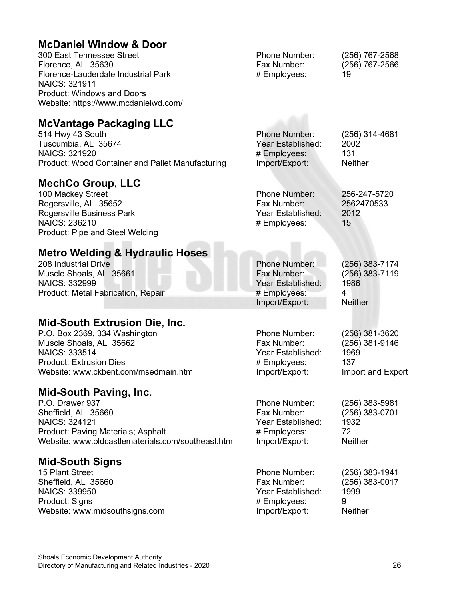#### **McDaniel Window & Door**

| 300 East Tennessee Street            | <b>Phone Number:</b> | (256) 767-2568 |
|--------------------------------------|----------------------|----------------|
| Florence, AL 35630                   | Fax Number:          | (256) 767-2566 |
| Florence-Lauderdale Industrial Park  | # Employees:         | 19             |
| <b>NAICS: 321911</b>                 |                      |                |
| <b>Product: Windows and Doors</b>    |                      |                |
| Website: https://www.mcdanielwd.com/ |                      |                |

#### **McVantage Packaging LLC**

514 Hwy 43 South Tuscumbia, AL 35674 NAICS: 321920 Product: Wood Container and Pallet Manufacturing

#### **MechCo Group, LLC**

100 Mackey Street Rogersville, AL 35652 Rogersville Business Park NAICS: 236210 Product: Pipe and Steel Welding Phone Number: 256-247-5720 Fax Number: 2562470533<br>Year Established: 2012 Year Established: # Employees: 15

#### **Metro Welding & Hydraulic Hoses**

| 208 Industrial Drive               | <b>Phone Number:</b> | (256) 383-7174 |
|------------------------------------|----------------------|----------------|
| Muscle Shoals, AL 35661            | Fax Number:          | (256) 383-7119 |
| <b>NAICS: 332999</b>               | Year Established:    | 1986           |
| Product: Metal Fabrication, Repair | # Employees:         | Δ              |
|                                    | Import/Export:       | <b>Neither</b> |

#### **Mid-South Extrusion Die, Inc.**

| P.O. Box 2369, 334 Washington        | <b>Phone Number:</b> | (256) 381-3620    |
|--------------------------------------|----------------------|-------------------|
| Muscle Shoals, AL 35662              | Fax Number:          | $(256)$ 381-9146  |
| NAICS: 333514                        | Year Established:    | 1969              |
| <b>Product: Extrusion Dies</b>       | # Employees:         | 137               |
| Website: www.ckbent.com/msedmain.htm | Import/Export:       | Import and Export |

#### **Mid-South Paving, Inc.**

P.O. Drawer 937 Sheffield, AL 35660 NAICS: 324121 Product: Paving Materials; Asphalt Website: www.oldcastlematerials.com/southeast.htm

#### **Mid-South Signs**

15 Plant Street Sheffield, AL 35660 NAICS: 339950 Product: Signs Website: www.midsouthsigns.com

Fax Number: (256) 383-0701 Year Established: # Employees: 72 Import/Export: Neither

Phone Number: (256) 383-5981

Phone Number: (256) 314-4681

Year Established: 2002 # Employees: 131

Import/Export:

Phone Number: (256) 383-1941 (256) 383-0017 Year Established: 1999 # Employees: 9 Import/Export: Neither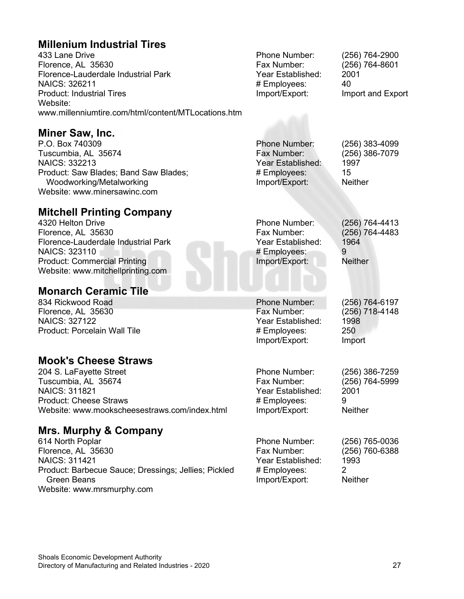#### **Millenium Industrial Tires**

433 Lane Drive Florence, AL 35630 Florence-Lauderdale Industrial Park NAICS: 326211 Product: Industrial Tires Website: www.millenniumtire.com/html/content/MTLocations.htm

**Miner Saw, Inc.**

P.O. Box 740309 Tuscumbia, AL 35674 NAICS: 332213 Product: Saw Blades; Band Saw Blades; Woodworking/Metalworking Website: www.minersawinc.com

#### **Mitchell Printing Company**

4320 Helton Drive Florence, AL 35630 Florence-Lauderdale Industrial Park NAICS: 323110 Product: Commercial Printing Website: www.mitchellprinting.com

#### **Monarch Ceramic Tile**

834 Rickwood Road Florence, AL 35630 NAICS: 327122 Product: Porcelain Wall Tile

#### **Mook's Cheese Straws**

204 S. LaFayette Street Tuscumbia, AL 35674 NAICS: 311821 Product: Cheese Straws Website: www.mookscheesestraws.com/index.html

#### **Mrs. Murphy & Company**

614 North Poplar Florence, AL 35630 NAICS: 311421 Product: Barbecue Sauce; Dressings; Jellies; Pickled Green Beans Website: www.mrsmurphy.com

Phone Number: (256) 764-2900 Fax Number: (256) 764-8601 Year Established: 2001 # Employees: 40

Import/Export: Import and Export

Phone Number: (256) 383-4099 Fax Number: (256) 386-7079 Year Established: 1997<br># Employees: 15 # Employees: 15<br>
Import/Export: Neither Import/Export:

Phone Number: (256) 764-4413 Fax Number: (256) 764-4483 Year Established: 1964 # Employees: 9<br>
Import/Export: Neither Import/Export:

(256) 718-4148

Phone Number: (256) 764-6197 Year Established: 1998<br># Emplovees: 250 # Employees: Import/Export: Import

Phone Number: (256) 386-7259<br>Fax Number: (256) 764-5999 Year Established: # Employees: 9 Import/Export: Neither

(256) 764-5999<br>2001

Phone Number: (256) 765-0036<br>Fax Number: (256) 760-6388 (256) 760-6388 Year Established: 1993 # Employees: 2 Import/Export: Neither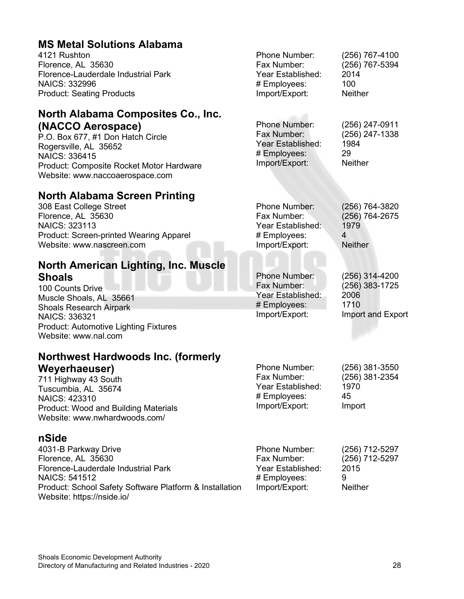#### **MS Metal Solutions Alaba**

4121 Rushton Florence, AL 35630 Florence-Lauderdale Industrial Park NAICS: 332996 Product: Seating Products

#### **North Alabama Composit (NACCO Aerospace)**

P.O. Box 677, #1 Don Hatch Circle Rogersville, AL 35652 NAICS: 336415 Product: Composite Rocket Motor Website: www.naccoaerospace.co

#### **North Alabama Screen Pr**

308 East College Street Florence, AL 35630 NAICS: 323113 Product: Screen-printed Wearing A Website: www.nascreen.com

#### **North American Lighting, Shoals**

100 Counts Drive Muscle Shoals, AL 35661 Shoals Research Airpark NAICS: 336321 Product: Automotive Lighting Fixtu Website: www.nal.com

#### **Northwest Hardwoods Ing. Weyerhaeuser)**

711 Highway 43 South Tuscumbia, AL 35674 NAICS: 423310 Product: Wood and Building Mater Website: www.nwhardwoods.com/

#### **nSide**

4031-B Parkway Drive Florence, AL 35630 Florence-Lauderdale Industrial Park NAICS: 541512 Product: School Safety Software Platform & Installation Website: https://nside.io/

| ama            |                                                                                     |                                                                   |
|----------------|-------------------------------------------------------------------------------------|-------------------------------------------------------------------|
| rk             | Phone Number:<br>Fax Number:<br>Year Established:<br># Employees:<br>Import/Export: | (256) 767-4100<br>(256) 767-5394<br>2014<br>100<br><b>Neither</b> |
| tes Co., Inc.  |                                                                                     |                                                                   |
| э              | <b>Phone Number:</b><br>Fax Number:<br>Year Established:<br># Employees:            | (256) 247-0911<br>(256) 247-1338<br>1984<br>29                    |
| Hardware<br>'n | Import/Export:                                                                      | <b>Neither</b>                                                    |
| rinting        |                                                                                     |                                                                   |
| Apparel        | <b>Phone Number:</b><br>Fax Number:<br>Year Established:<br># Employees:            | (256) 764-3820<br>(256) 764-2675<br>1979<br>$\overline{4}$        |
|                | Import/Export:                                                                      | <b>Neither</b>                                                    |
| . Inc. Muscle  |                                                                                     |                                                                   |
|                | <b>Phone Number:</b><br>Fax Number:<br>Year Established:<br># Employees:            | (256) 314-4200<br>(256) 383-1725<br>2006<br>1710                  |
| ıres           | Import/Export:                                                                      | Import and Export                                                 |
| c. (formerly   | Phone Number:<br>Fax Number:                                                        | (256) 381-3550                                                    |
| ials           | Year Established:<br># Employees:<br>Import/Export:                                 | (256) 381-2354<br>1970<br>45<br>Import                            |
| rk             | Phone Number:<br>Fax Number:<br>Year Established:                                   | (256) 712-5297<br>(256) 712-5297<br>2015                          |

Import/Export: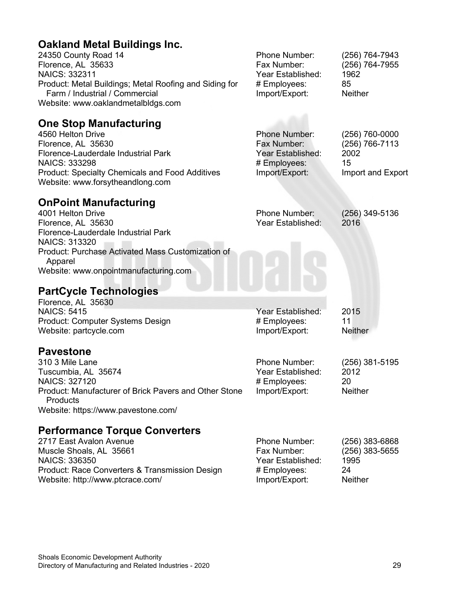#### **Oakland Metal Buildings Inc.**

| <b>Oakland Metal Buildings Inc.</b><br>24350 County Road 14<br>Florence, AL 35633<br><b>NAICS: 332311</b><br>Product: Metal Buildings; Metal Roofing and Siding for<br>Farm / Industrial / Commercial<br>Website: www.oaklandmetalbldgs.com                                      | Phone Number:<br>Fax Number:<br>Year Established:<br># Employees:<br>Import/Export:        | (256) 764-7943<br>(256) 764-7955<br>1962<br>85<br><b>Neither</b>      |
|----------------------------------------------------------------------------------------------------------------------------------------------------------------------------------------------------------------------------------------------------------------------------------|--------------------------------------------------------------------------------------------|-----------------------------------------------------------------------|
| <b>One Stop Manufacturing</b><br>4560 Helton Drive<br>Florence, AL 35630<br>Florence-Lauderdale Industrial Park<br><b>NAICS: 333298</b><br><b>Product: Specialty Chemicals and Food Additives</b><br>Website: www.forsytheandlong.com                                            | <b>Phone Number:</b><br>Fax Number:<br>Year Established:<br># Employees:<br>Import/Export: | $(256)$ 760-0000<br>(256) 766-7113<br>2002<br>15<br>Import and Export |
| <b>OnPoint Manufacturing</b><br>4001 Helton Drive<br>Florence, AL 35630<br>Florence-Lauderdale Industrial Park<br><b>NAICS: 313320</b><br>Product: Purchase Activated Mass Customization of<br>Apparel<br>Website: www.onpointmanufacturing.com<br><b>PartCycle Technologies</b> | <b>Phone Number:</b><br>Year Established:                                                  | $(256)$ 349-5136<br>2016                                              |
| Florence, AL 35630<br><b>NAICS: 5415</b><br>Product: Computer Systems Design<br>Website: partcycle.com                                                                                                                                                                           | Year Established:<br># Employees:<br>Import/Export:                                        | 2015<br>11<br><b>Neither</b>                                          |
| <b>Pavestone</b><br>310 3 Mile Lane<br>Tuscumbia, AL 35674<br>NAICS: 327120<br>Product: Manufacturer of Brick Pavers and Other Stone<br>Products<br>Website: https://www.pavestone.com/                                                                                          | Phone Number:<br>Year Established:<br># Employees:<br>Import/Export:                       | (256) 381-5195<br>2012<br>20<br><b>Neither</b>                        |
| <b>Performance Torque Converters</b><br>2717 East Avalon Avenue<br>Muscle Shoals, AL 35661<br><b>NAICS: 336350</b><br>Product: Race Converters & Transmission Design<br>Website: http://www.ptcrace.com/                                                                         | Phone Number:<br>Fax Number:<br>Year Established:<br># Employees:<br>Import/Export:        | $(256)$ 383-6868<br>$(256)$ 383-5655<br>1995<br>24<br>Neither         |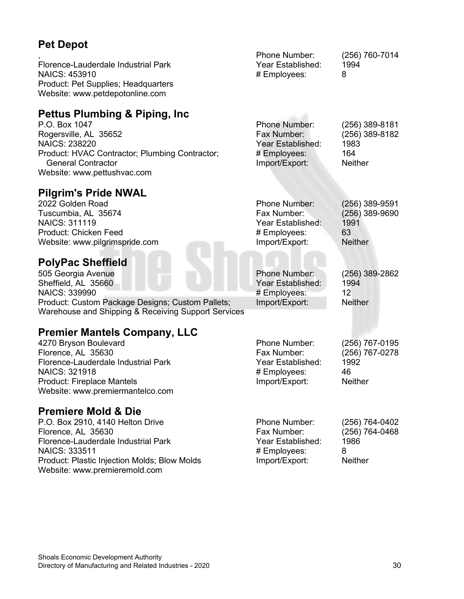### **Pet Depot**

| <b>Pet Depot</b>                                                                                                                                                                                                                         |                                                                                            |                                                                     |
|------------------------------------------------------------------------------------------------------------------------------------------------------------------------------------------------------------------------------------------|--------------------------------------------------------------------------------------------|---------------------------------------------------------------------|
| Florence-Lauderdale Industrial Park<br>NAICS: 453910<br>Product: Pet Supplies; Headquarters<br>Website: www.petdepotonline.com                                                                                                           | Phone Number:<br>Year Established:<br># Employees:                                         | (256) 760-7014<br>1994<br>8                                         |
| <b>Pettus Plumbing &amp; Piping, Inc.</b><br>P.O. Box 1047<br>Rogersville, AL 35652<br><b>NAICS: 238220</b><br>Product: HVAC Contractor; Plumbing Contractor;<br><b>General Contractor</b><br>Website: www.pettushvac.com                | <b>Phone Number:</b><br>Fax Number:<br>Year Established:<br># Employees:<br>Import/Export: | $(256)$ 389-8181<br>(256) 389-8182<br>1983<br>164<br><b>Neither</b> |
| <b>Pilgrim's Pride NWAL</b><br>2022 Golden Road<br>Tuscumbia, AL 35674<br><b>NAICS: 311119</b><br>Product: Chicken Feed<br>Website: www.pilgrimspride.com                                                                                | Phone Number:<br>Fax Number:<br>Year Established:<br># Employees:<br>Import/Export:        | (256) 389-9591<br>$(256)$ 389-9690<br>1991<br>63<br><b>Neither</b>  |
| <b>PolyPac Sheffield</b><br>505 Georgia Avenue<br>Sheffield, AL 35660<br>NAICS: 339990<br>Product: Custom Package Designs; Custom Pallets;<br>Warehouse and Shipping & Receiving Support Services                                        | <b>Phone Number:</b><br>Year Established:<br># Employees:<br>Import/Export:                | (256) 389-2862<br>1994<br>12<br><b>Neither</b>                      |
| <b>Premier Mantels Company, LLC</b><br>4270 Bryson Boulevard<br>Florence, AL 35630<br>Florence-Lauderdale Industrial Park<br><b>NAICS: 321918</b><br>Product: Fireplace Mantels<br>Website: www.premiermantelco.com                      | Phone Number:<br>Fax Number:<br>Year Established:<br># Employees:<br>Import/Export:        | (256) 767-0195<br>(256) 767-0278<br>1992<br>46<br><b>Neither</b>    |
| <b>Premiere Mold &amp; Die</b><br>P.O. Box 2910, 4140 Helton Drive<br>Florence, AL 35630<br>Florence-Lauderdale Industrial Park<br><b>NAICS: 333511</b><br>Product: Plastic Injection Molds; Blow Molds<br>Website: www.premieremold.com | Phone Number:<br>Fax Number:<br>Year Established:<br># Employees:<br>Import/Export:        | (256) 764-0402<br>(256) 764-0468<br>1986<br>8<br><b>Neither</b>     |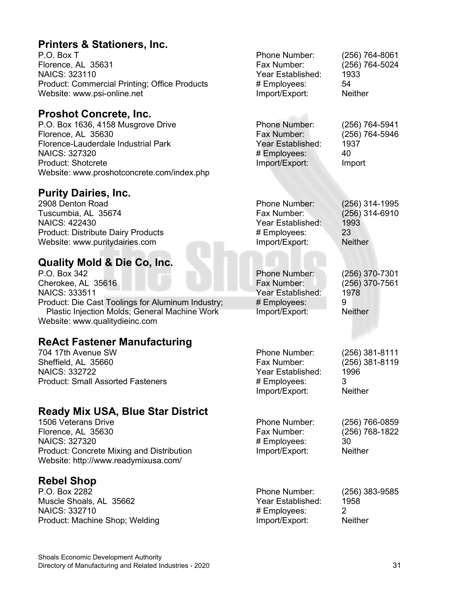#### **Printers & Stationers, Inc.**

P.O. Box T Florence, AL 35631 NAICS: 323110 Product: Commercial Printing; Office Pro Website: www.psi-online.net

#### **Proshot Concrete, Inc.**

P.O. Box 1636, 4158 Musgrove Drive Florence, AL 35630 Florence-Lauderdale Industrial Park NAICS: 327320 Product: Shotcrete Website: www.proshotconcrete.com/inde

#### **Purity Dairies, Inc.**

2908 Denton Road Tuscumbia, AL 35674 NAICS: 422430 Product: Distribute Dairy Products Website: www.puritydairies.com

#### **Quality Mold & Die Co, Inc.**

P.O. Box 342 Cherokee, AL 35616 NAICS: 333511 Product: Die Cast Toolings for Aluminum Plastic Injection Molds; General Machi Website: www.qualitydieinc.com

#### **ReAct Fastener Manufacturing**

704 17th Avenue SW Sheffield, AL 35660 NAICS: 332722 Product: Small Assorted Fasteners

#### **Ready Mix USA, Blue Star District**

1506 Veterans Drive Florence, AL 35630 NAICS: 327320 Product: Concrete Mixing and Distribution Website: http://www.readymixusa.com/

#### **Rebel Shop**

P.O. Box 2282 Muscle Shoals, AL 35662 NAICS: 332710 Product: Machine Shop; Welding Phone Number: (256) 383-9585 Year Established: 1958 # Employees: 2

| ducts                | Phone Number:<br>Fax Number:<br>Year Established:<br># Employees:<br>Import/Export:        | (256) 764-8061<br>(256) 764-5024<br>1933<br>54<br><b>Neither</b>  |
|----------------------|--------------------------------------------------------------------------------------------|-------------------------------------------------------------------|
| ex.php               | <b>Phone Number:</b><br>Fax Number:<br>Year Established:<br># Employees:<br>Import/Export: | (256) 764-5941<br>(256) 764-5946<br>1937<br>40<br>Import          |
|                      | <b>Phone Number:</b><br>Fax Number:<br>Year Established:<br># Employees:<br>Import/Export: | (256) 314-1995<br>(256) 314-6910<br>1993<br>23<br><b>Neither</b>  |
| Industry;<br>ne Work | <b>Phone Number:</b><br>Fax Number:<br>Year Established:<br># Employees:<br>Import/Export: | (256) 370-7301<br>$(256)$ 370-7561<br>1978<br>9<br><b>Neither</b> |
| g                    | Phone Number:<br>Fax Number:<br>Year Established:<br># Employees:<br>Import/Export:        | (256) 381-8111<br>(256) 381-8119<br>1996<br>3<br>Neither          |
| trict<br>n           | Phone Number:<br>Fax Number:<br># Employees:<br>Import/Export:                             | (256) 766-0859<br>(256) 768-1822<br>30<br><b>Neither</b>          |
|                      | Phone Number:<br>Year Established:<br># Employees:<br>Import/Export:                       | (256) 383-9585<br>1958<br>$\overline{2}$<br><b>Neither</b>        |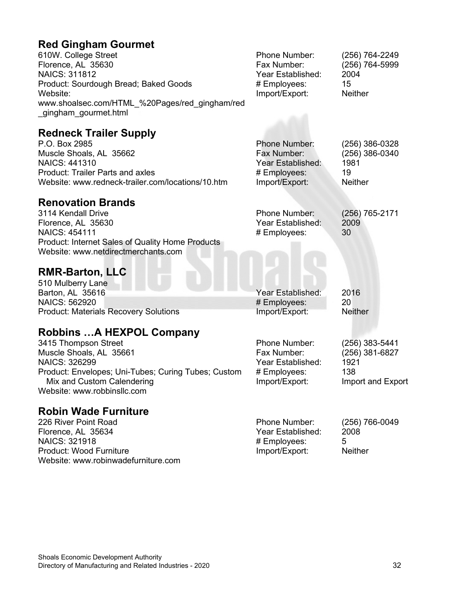### **Red Gingham Gourmet**

| <b>Red Olligham Gourmet</b><br>610W. College Street<br>Florence, AL 35630<br><b>NAICS: 311812</b><br>Product: Sourdough Bread; Baked Goods<br>Website:<br>www.shoalsec.com/HTML_%20Pages/red_gingham/red<br>_gingham_gourmet.html | Phone Number:<br>Fax Number:<br>Year Established:<br># Employees:<br>Import/Export:        | (256) 764-2249<br>(256) 764-5999<br>2004<br>15<br><b>Neither</b>     |
|-----------------------------------------------------------------------------------------------------------------------------------------------------------------------------------------------------------------------------------|--------------------------------------------------------------------------------------------|----------------------------------------------------------------------|
| <b>Redneck Trailer Supply</b><br>P.O. Box 2985<br>Muscle Shoals, AL 35662<br><b>NAICS: 441310</b><br><b>Product: Trailer Parts and axles</b><br>Website: www.redneck-trailer.com/locations/10.htm                                 | <b>Phone Number:</b><br>Fax Number:<br>Year Established:<br># Employees:<br>Import/Export: | (256) 386-0328<br>(256) 386-0340<br>1981<br>19<br><b>Neither</b>     |
| <b>Renovation Brands</b><br>3114 Kendall Drive<br>Florence, AL 35630<br><b>NAICS: 454111</b><br>Product: Internet Sales of Quality Home Products<br>Website: www.netdirectmerchants.com                                           | Phone Number:<br>Year Established:<br># Employees:                                         | (256) 765-2171<br>2009<br>30                                         |
| <b>RMR-Barton, LLC</b><br>510 Mulberry Lane<br>Barton, AL 35616<br>NAICS: 562920<br><b>Product: Materials Recovery Solutions</b>                                                                                                  | Year Established:<br># Employees:<br>Import/Export:                                        | 2016<br>20<br><b>Neither</b>                                         |
| <b>Robbins A HEXPOL Company</b><br>3415 Thompson Street<br>Muscle Shoals, AL 35661<br><b>NAICS: 326299</b><br>Product: Envelopes; Uni-Tubes; Curing Tubes; Custom<br>Mix and Custom Calendering<br>Website: www.robbinsllc.com    | Phone Number:<br>Fax Number:<br>Year Established:<br># Employees:<br>Import/Export:        | (256) 383-5441<br>(256) 381-6827<br>1921<br>138<br>Import and Export |
| <b>Robin Wade Furniture</b><br>226 River Point Road<br>Florence, AL 35634                                                                                                                                                         | Phone Number:<br>Year Established:                                                         | (256) 766-0049<br>2008                                               |

Florence, AL 35634 NAICS: 321918 Product: Wood Furniture Website: www.robinwadefurniture.com # Employees: 5 Import/Export: Neither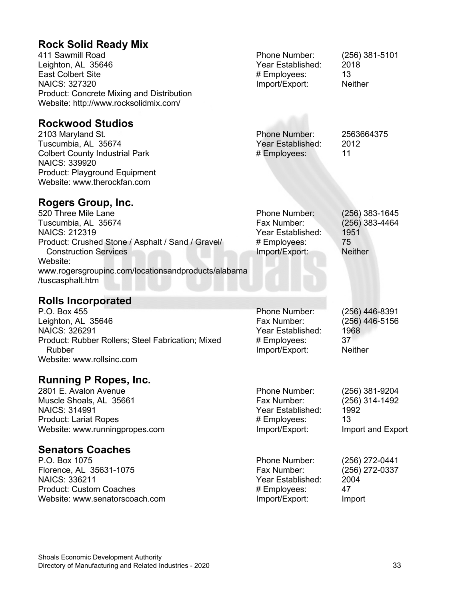### **Rock Solid Ready Mix**

| NOON OONG INGGUY IVIIA                    |                   |                  |
|-------------------------------------------|-------------------|------------------|
| 411 Sawmill Road                          | Phone Number:     | $(256)$ 381-5101 |
| Leighton, AL 35646                        | Year Established: | 2018             |
| <b>East Colbert Site</b>                  | # Employees:      | 13               |
| <b>NAICS: 327320</b>                      | Import/Export:    | <b>Neither</b>   |
| Product: Concrete Mixing and Distribution |                   |                  |
| Website: http://www.rocksolidmix.com/     |                   |                  |
|                                           |                   |                  |
| <b>Rockwood Studios</b>                   |                   |                  |
| 2103 Maryland St.                         | Phone Number:     | 2563664375       |
| Tuscumbia, AL 35674                       | Year Established: | 2012             |
| <b>Colbert County Industrial Park</b>     | # Employees:      | 11               |
| <b>NAICS: 339920</b>                      |                   |                  |
| Product: Playground Equipment             |                   |                  |
| Website: www.therockfan.com               |                   |                  |
|                                           |                   |                  |
| <b>Rogers Group, Inc.</b>                 |                   |                  |
| 520 Three Mile Lane                       | Phone Number:     | $(256)$ 383-1645 |
| Tuscumbia, AL 35674                       | Fax Number:       | $(256)$ 383-4464 |
| <b>NAICS: 212319</b>                      | Year Established: | 1951             |
| <b>DUILOUIDE LA LUIO ILOUIDE IL</b>       |                   | ––               |

Product: Crushed Stone / Asphalt / Sand / Gravel/ Construction Services Website: www.rogersgroupinc.com/locationsandproducts/alabama /tuscasphalt.htm # Employees: 75 Import/Export:

#### **Rolls Incorporated**

| P.O. Box 455                                      | <b>Phone Number:</b> | $(256)$ 446-8391 |
|---------------------------------------------------|----------------------|------------------|
| Leighton, AL 35646                                | Fax Number:          | (256) 446-5156   |
| <b>NAICS: 326291</b>                              | Year Established:    | 1968             |
| Product: Rubber Rollers; Steel Fabrication; Mixed | # Employees:         | 37               |
| Rubber                                            | Import/Export:       | <b>Neither</b>   |
| Website: www.rollsinc.com                         |                      |                  |
|                                                   |                      |                  |

#### **Running P Ropes, Inc.**

2801 E. Avalon Avenue Muscle Shoals, AL 35661 NAICS: 314991 Product: Lariat Ropes Website: www.runningpropes.com

#### **Senators Coaches**

P.O. Box 1075 Florence, AL 35631-1075 NAICS: 336211 Product: Custom Coaches Website: www.senatorscoach.com Phone Number: (256) 381-9204 (256) 314-1492 Year Established: 1992 # Employees: 13 Import/Export: Import and Export

Phone Number: (256) 272-0441<br>Fax Number: (256) 272-0337 (256) 272-0337 Year Established: 2004 # Employees: 47<br>
Import/Export: Import Import/Export: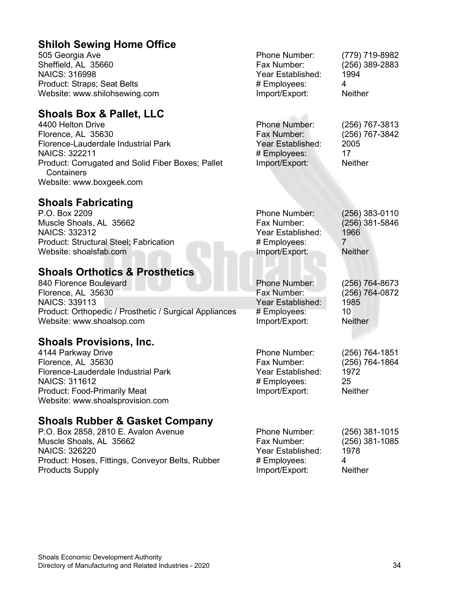#### **Shiloh Sewing Home Office**

505 Georgia Ave Sheffield, AL 35660 NAICS: 316998 Product: Straps; Seat Belts Website: www.shilohsewing.com

#### **Shoals Box & Pallet, LLC**

4400 Helton Drive Florence, AL 35630 Florence-Lauderdale Industrial Park NAICS: 322211 Product: Corrugated and Solid Fiber Boxes; Pallet **Containers** Website: www.boxgeek.com

#### **Shoals Fabricating**

P.O. Box 2209 Muscle Shoals, AL 35662 NAICS: 332312 Product: Structural Steel; Fabrication Website: shoalsfab.com

#### **Shoals Orthotics & Prosthetics**

840 Florence Boulevard Florence, AL 35630 NAICS: 339113 Product: Orthopedic / Prosthetic / Surgical Appliances Website: www.shoalsop.com

#### **Shoals Provisions, Inc.**

4144 Parkway Drive Florence, AL 35630 Florence-Lauderdale Industrial Park NAICS: 311612 Product: Food-Primarily Meat Website: www.shoalsprovision.com

#### **Shoals Rubber & Gasket Company**

P.O. Box 2858, 2810 E. Avalon Avenue Muscle Shoals, AL 35662 NAICS: 326220 Product: Hoses, Fittings, Conveyor Belts, Rubber Products Supply

| Phone Number:     | (779) 719-8982 |
|-------------------|----------------|
| Fax Number:       | (256) 389-2883 |
| Year Established: | 1994           |
| # Employees:      | 4              |
| Import/Export:    | <b>Neither</b> |
|                   |                |

| <b>Phone Number:</b> | (256) 767-3813 |
|----------------------|----------------|
| Fax Number:          | (256) 767-3842 |
| Year Established:    | 2005           |
| # Employees:         | 17             |
| Import/Export:       | <b>Neither</b> |
|                      |                |

| Phone Number:     | $(256)$ 383-0110 |
|-------------------|------------------|
| Fax Number:       | (256) 381-5846   |
| Year Established: | 1966             |
| # Employees:      |                  |
| Import/Export:    | <b>Neither</b>   |
|                   |                  |

Phone Number: (256) 764-8673<br>Fax Number: (256) 764-0872 Year Established: 1985 # Employees: 10 Import/Export: Neither

Phone Number: (256) 764-1851 Fax Number: (256) 764-1864 Year Established: 1972<br># Employees: 25 # Employees: 25 Import/Export:

(256) 764-0872

| Phone Number:     | $(256)$ 381-1015 |
|-------------------|------------------|
| Fax Number:       | (256) 381-1085   |
| Year Established: | 1978             |
| # Employees:      | 4                |
| Import/Export:    | <b>Neither</b>   |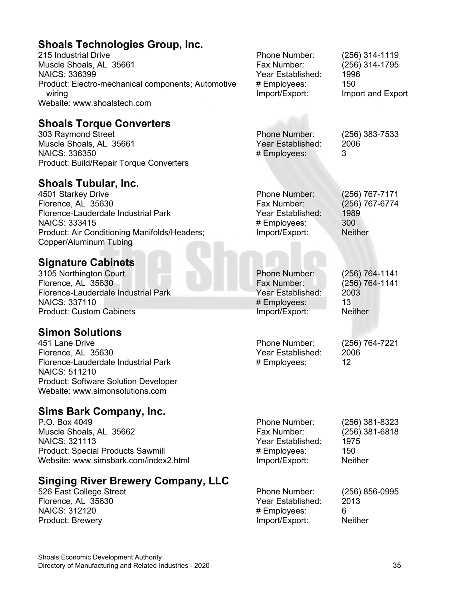#### **Shoals Technologies Group, Inc.**

215 Industrial Drive Muscle Shoals, AL 35661 NAICS: 336399 Product: Electro-mechanical components; Automotive wiring Website: www.shoalstech.com

#### **Shoals Torque Converters**

303 Raymond Street Muscle Shoals, AL 35661 NAICS: 336350 Product: Build/Repair Torque Converters

#### **Shoals Tubular, Inc.**

4501 Starkey Drive Florence, AL 35630 Florence-Lauderdale Industrial Park NAICS: 333415 Product: Air Conditioning Manifolds/Headers; Copper/Aluminum Tubing

#### **Signature Cabinets**

3105 Northington Court Florence, AL 35630 Florence-Lauderdale Industrial Park NAICS: 337110 Product: Custom Cabinets

#### **Simon Solutions**

451 Lane Drive Florence, AL 35630 Florence-Lauderdale Industrial Park NAICS: 511210 Product: Software Solution Developer Website: www.simonsolutions.com

#### **Sims Bark Company, Inc.**

P.O. Box 4049 Muscle Shoals, AL 35662 NAICS: 321113 Product: Special Products Sawmill Website: www.simsbark.com/index2.html

#### **Singing River Brewery Company, LLC**

526 East College Street Florence, AL 35630 NAICS: 312120 Product: Brewery

Phone Number: (256) 314-1119 Fax Number: (256) 314-1795 Year Established: 1996 # Employees: 150 Import/Export: Import and Export

Phone Number: (256) 383-7533 Year Established: 2006 # Employees: 3

Phone Number: (256) 767-7171 Fax Number: (256) 767-6774 Year Established: 1989<br># Employees: 300 # Employees: Import/Export: Neither

Phone Number: (256) 764-1141 Year Established: # Employees: 13<br>
Import/Export: Neither Import/Export:

Phone Number: (256) 764-7221 Year Established: 2006 # Employees: 12

(256) 764-1141<br>2003

| Phone Number:     | (256) 381-8323 |
|-------------------|----------------|
| Fax Number:       | (256) 381-6818 |
| Year Established: | 1975           |
| # Employees:      | 150            |
| Import/Export:    | <b>Neither</b> |
|                   |                |

Phone Number: (256) 856-0995 Year Established: 2013 # Employees: 6<br>Import/Export: 6<br>Neither Import/Export: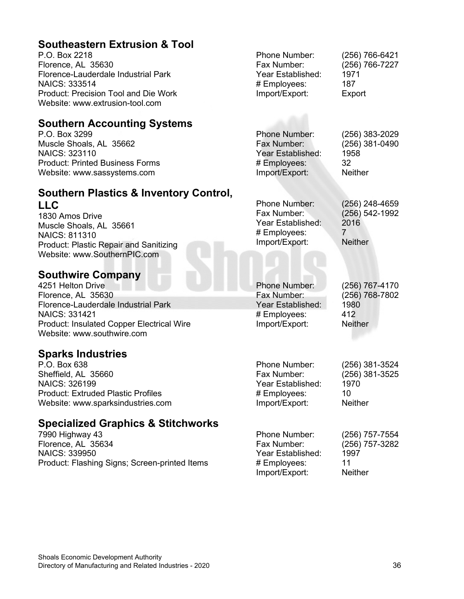#### **Southeastern Extrusion & Tool**

P.O. Box 2218 Florence, AL 35630 Florence-Lauderdale Industrial Park NAICS: 333514 Product: Precision Tool and Die Work Website: www.extrusion-tool.com

#### **Southern Accounting Systems**

P.O. Box 3299 Muscle Shoals, AL 35662 NAICS: 323110 Product: Printed Business Forms Website: www.sassystems.com

#### **Southern Plastics & Inventory Control, LLC**

1830 Amos Drive Muscle Shoals, AL 35661 NAICS: 811310 Product: Plastic Repair and Sanitizing Website: www.SouthernPIC.com

#### **Southwire Company**

4251 Helton Drive Florence, AL 35630 Florence-Lauderdale Industrial Park NAICS: 331421 Product: Insulated Copper Electrical Wire Website: www.southwire.com

#### **Sparks Industries**

P.O. Box 638 Sheffield, AL 35660 NAICS: 326199 Product: Extruded Plastic Profiles Website: www.sparksindustries.com

#### **Specialized Graphics & Stitchworks**

7990 Highway 43 Florence, AL 35634 NAICS: 339950 Product: Flashing Signs; Screen-printed Items

Phone Number: (256) 383-2029 Fax Number: (256) 381-0490 Year Established: 1958<br># Emplovees: 32 # Employees: 32<br>Import/Export: Neither Import/Export:

Phone Number: (256) 248-4659<br>Fax Number: (256) 542-1992 (256) 542-1992<br>2016 Year Established: # Employees: 7 Import/Export: Neither

Phone Number: (256) 767-4170 (256) 768-7802<br>1980 Year Established: # Employees: 412 Import/Export: Neither

Phone Number: (256) 381-3524<br>Fax Number: (256) 381-3525 Year Established: 1970 # Employees: 10 Import/Export: Neither

(256) 381-3525

Phone Number: (256) 757-7554 Fax Number: (256) 757-3282 Year Established: 1997<br># Emplovees: 11 # Employees: 11 Import/Export: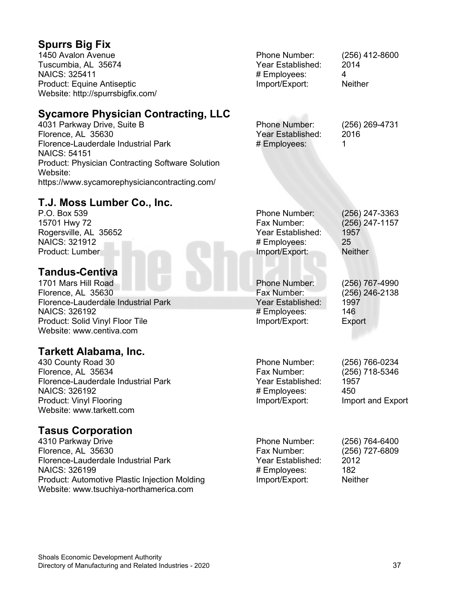#### **Spurrs Big Fix**

1450 Avalon Avenue Tuscumbia, AL 35674 NAICS: 325411 Product: Equine Antiseptic Website: http://spurrsbigfix.com/

#### **Sycamore Physician Contracting, LLC**

4031 Parkway Drive, Suite B Florence, AL 35630 Florence-Lauderdale Industrial Park NAICS: 54151 Product: Physician Contracting Software Solution Website: https://www.sycamorephysiciancontracting.com/

### **T.J. Moss Lumber Co., Inc.**

P.O. Box 539 15701 Hwy 72 Rogersville, AL 35652 NAICS: 321912 Product: Lumber

#### **Tandus-Centiva**

1701 Mars Hill Road Florence, AL 35630 Florence-Lauderdale Industrial Park NAICS: 326192 Product: Solid Vinyl Floor Tile Website: www.centiva.com

#### **Tarkett Alabama, Inc.**

430 County Road 30 Florence, AL 35634 Florence-Lauderdale Industrial Park NAICS: 326192 Product: Vinyl Flooring Website: www.tarkett.com

#### **Tasus Corporation**

4310 Parkway Drive Florence, AL 35630 Florence-Lauderdale Industrial Park NAICS: 326199 Product: Automotive Plastic Injection Molding Website: www.tsuchiya-northamerica.com

| Phone Number:     | $(256)$ 412-8600 |
|-------------------|------------------|
| Year Established: | 2014             |
| # Employees:      | 4                |
| Import/Export:    | <b>Neither</b>   |
|                   |                  |

Phone Number: (256) 269-4731 Year Established: 2016 # Employees: 1

Phone Number: (256) 247-3363<br>Fax Number: (256) 247-1157 (256) 247-1157 Year Established: 1957 # Employees: 25 Import/Export: Neither

Phone Number: (256) 767-4990 Fax Number: (256) 246-2138 Year Established: 1997 # Employees: 146 Import/Export: Export

Phone Number: (256) 766-0234 Year Established: 1957<br># Employees: 450  $#$  Employees: Import/Export: Import and Export

(256) 718-5346

Phone Number: (256) 764-6400 Fax Number: (256) 727-6809 Year Established: 2012 # Employees: 182 Import/Export: Neither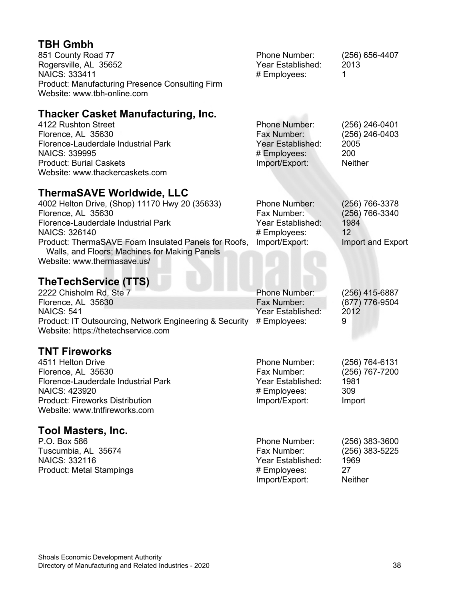#### **TBH Gmbh**

| 851 County Road 77<br>Rogersville, AL 35652<br>NAICS: 333411                          | Phone Number:<br>Year Established:<br># Employees: | $(256)$ 656-4407<br>2013 |
|---------------------------------------------------------------------------------------|----------------------------------------------------|--------------------------|
| <b>Product: Manufacturing Presence Consulting Firm</b><br>Website: www.tbh-online.com |                                                    |                          |

### **Thacker Casket Manufacturing, Inc.**

| 4122 Rushton Street                 | <b>Phone Number:</b> | $(256)$ 246-0401 |
|-------------------------------------|----------------------|------------------|
| Florence, AL 35630                  | Fax Number:          | $(256)$ 246-0403 |
| Florence-Lauderdale Industrial Park | Year Established:    | 2005             |
| <b>NAICS: 339995</b>                | # Employees:         | 200              |
| <b>Product: Burial Caskets</b>      | Import/Export:       | <b>Neither</b>   |
| Website: www.thackercaskets.com     |                      |                  |

#### **ThermaSAVE Worldwide, LLC**

| 4002 Helton Drive, (Shop) 11170 Hwy 20 (35633)                                                                                       | <b>Phone Number:</b> | $(256)$ 766-3378  |
|--------------------------------------------------------------------------------------------------------------------------------------|----------------------|-------------------|
| Florence, AL 35630                                                                                                                   | Fax Number:          | (256) 766-3340    |
| Florence-Lauderdale Industrial Park                                                                                                  | Year Established:    | 1984              |
| NAICS: 326140                                                                                                                        | # Employees:         | 12                |
| Product: ThermaSAVE Foam Insulated Panels for Roofs,<br>Walls, and Floors; Machines for Making Panels<br>Website: www.thermasave.us/ | Import/Export:       | Import and Export |

## **TheTechService (TTS)**

| 2222 Chisholm Rd, Ste 7                                              | <b>Phone Number:</b> | (256) 415-6887 |
|----------------------------------------------------------------------|----------------------|----------------|
| Florence, AL 35630                                                   | Fax Number:          | (877) 776-9504 |
| <b>NAICS: 541</b>                                                    | Year Established:    | 2012           |
| Product: IT Outsourcing, Network Engineering & Security # Employees: |                      | 9              |
| Website: https://thetechservice.com                                  |                      |                |

#### **TNT Fireworks**

| 4511 Helton Drive                      | <b>Phone Number:</b> | (256) 764-6131 |
|----------------------------------------|----------------------|----------------|
| Florence, AL 35630                     | Fax Number:          | (256) 767-7200 |
| Florence-Lauderdale Industrial Park    | Year Established:    | 1981           |
| NAICS: 423920                          | # Employees:         | 309            |
| <b>Product: Fireworks Distribution</b> | Import/Export:       | Import         |
| Website: www.tntfireworks.com          |                      |                |
| <b>Tool Masters, Inc.</b>              |                      |                |

#### P.O. Box 586 Tuscumbia, AL 35674 NAICS: 332116 Product: Metal Stampings Phone Number: (256) 383-3600<br>Fax Number: (256) 383-5225 (256) 383-5225<br>1969 Year Established: 196<br>
# Employees: 27 # Employees: 27<br>Import/Export: Neither Import/Export: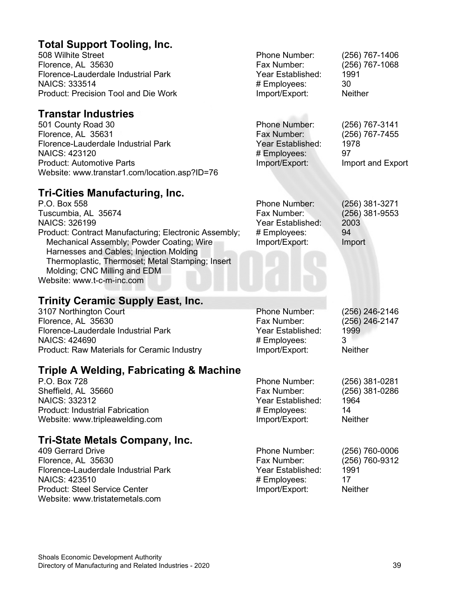#### **Total Support Tooling, Inc.**

508 Wilhite Street Florence, AL 35630 Florence-Lauderdale Industrial Park NAICS: 333514 Product: Precision Tool and Die Work

#### **Transtar Industries**

501 County Road 30 Florence, AL 35631 Florence-Lauderdale Industrial Park NAICS: 423120 Product: Automotive Parts Website: www.transtar1.com/location.asp?ID=76 Phone Number: (256) 767-3141 Fax Number: (256) 767-7455 Year Established: 1978 # Employees: 97<br>| Import/Export: 1m Import and Export

#### **Tri-Cities Manufacturing, Inc.**

| P.O. Box 558                                          | Phone Number:     | (256) 381-3271   |
|-------------------------------------------------------|-------------------|------------------|
| Tuscumbia, AL 35674                                   | Fax Number:       | $(256)$ 381-9553 |
| <b>NAICS: 326199</b>                                  | Year Established: | 2003             |
| Product: Contract Manufacturing; Electronic Assembly; | # Employees:      | 94               |
| Mechanical Assembly; Powder Coating; Wire             | Import/Export:    | Import           |
| Harnesses and Cables; Injection Molding               |                   |                  |
| Thermoplastic, Thermoset; Metal Stamping; Insert      |                   |                  |
| Molding; CNC Milling and EDM                          |                   |                  |
| Website: www.t-c-m-inc.com                            |                   |                  |
|                                                       |                   |                  |

#### **Trinity Ceramic Supply East, Inc.**

3107 Northington Court Florence, AL 35630 Florence-Lauderdale Industrial Park NAICS: 424690 Product: Raw Materials for Ceramic Industry

#### **Triple A Welding, Fabricating & Machine**

P.O. Box 728 Sheffield, AL 35660 NAICS: 332312 Product: Industrial Fabrication Website: www.tripleawelding.com

#### **Tri-State Metals Company, Inc.**

409 Gerrard Drive Florence, AL 35630 Florence-Lauderdale Industrial Park NAICS: 423510 Product: Steel Service Center Website: www.tristatemetals.com

| Phone Number:     | (256) 246-2146 |
|-------------------|----------------|
| Fax Number:       | (256) 246-2147 |
| Year Established: | 1999           |
| # Employees:      | З              |
| Import/Export:    | <b>Neither</b> |
|                   |                |

Phone Number: (256) 767-1406 Fax Number: (256) 767-1068

Year Established: 1991 # Employees: 30 Import/Export: Neither

| Phone Number:     | (256) 381-0281 |
|-------------------|----------------|
| Fax Number:       | (256) 381-0286 |
| Year Established: | 1964           |
| # Employees:      | 14             |
| Import/Export:    | <b>Neither</b> |
|                   |                |

| $(256)$ 760-0006 |
|------------------|
| (256) 760-9312   |
| 1991             |
| 17               |
| <b>Neither</b>   |
|                  |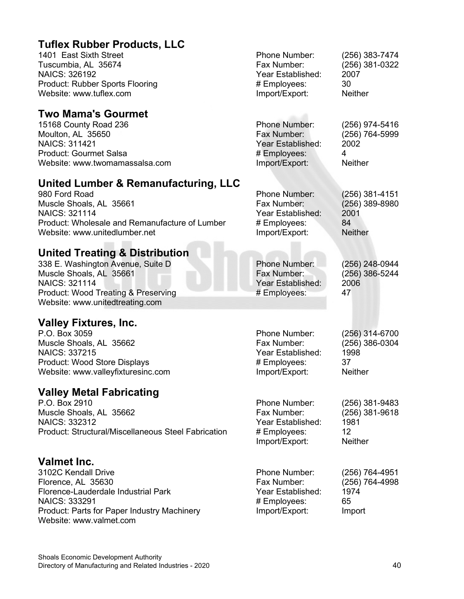| <b>Tuflex Rubber Products, LLC</b>                  |                      |                  |
|-----------------------------------------------------|----------------------|------------------|
| 1401 East Sixth Street                              | Phone Number:        | (256) 383-7474   |
| Tuscumbia, AL 35674                                 | Fax Number:          | (256) 381-0322   |
| <b>NAICS: 326192</b>                                | Year Established:    | 2007             |
| <b>Product: Rubber Sports Flooring</b>              | # Employees:         | 30               |
| Website: www.tuflex.com                             | Import/Export:       | <b>Neither</b>   |
| <b>Two Mama's Gourmet</b>                           |                      |                  |
| 15168 County Road 236                               | <b>Phone Number:</b> | (256) 974-5416   |
| Moulton, AL 35650                                   | Fax Number:          | (256) 764-5999   |
| <b>NAICS: 311421</b>                                | Year Established:    | 2002             |
| <b>Product: Gourmet Salsa</b>                       | # Employees:         | $\overline{4}$   |
| Website: www.twomamassalsa.com                      | Import/Export:       | <b>Neither</b>   |
| United Lumber & Remanufacturing, LLC                |                      |                  |
| 980 Ford Road                                       | Phone Number:        | $(256)$ 381-4151 |
| Muscle Shoals, AL 35661                             | Fax Number:          | $(256)$ 389-8980 |
| <b>NAICS: 321114</b>                                | Year Established:    | 2001             |
| Product: Wholesale and Remanufacture of Lumber      | # Employees:         | 84               |
| Website: www.unitedlumber.net                       | Import/Export:       | <b>Neither</b>   |
| <b>United Treating &amp; Distribution</b>           |                      |                  |
| 338 E. Washington Avenue, Suite D                   | <b>Phone Number:</b> | (256) 248-0944   |
| Muscle Shoals, AL 35661                             | Fax Number:          | (256) 386-5244   |
| <b>NAICS: 321114</b>                                | Year Established:    | 2006             |
| <b>Product: Wood Treating &amp; Preserving</b>      | # Employees:         | 47               |
| Website: www.unitedtreating.com                     |                      |                  |
| <b>Valley Fixtures, Inc.</b>                        |                      |                  |
| P.O. Box 3059                                       | Phone Number:        | (256) 314-6700   |
| Muscle Shoals, AL 35662                             | Fax Number:          | (256) 386-0304   |
| <b>NAICS: 337215</b>                                | Year Established:    | 1998             |
| Product: Wood Store Displays                        | # Employees:         | 37               |
| Website: www.valleyfixturesinc.com                  | Import/Export:       | <b>Neither</b>   |
| <b>Valley Metal Fabricating</b>                     |                      |                  |
| P.O. Box 2910                                       | Phone Number:        | (256) 381-9483   |
| Muscle Shoals, AL 35662                             | Fax Number:          | (256) 381-9618   |
| <b>NAICS: 332312</b>                                | Year Established:    | 1981             |
| Product: Structural/Miscellaneous Steel Fabrication | # Employees:         | 12               |
|                                                     | Import/Export:       | <b>Neither</b>   |
| Valmet Inc.                                         |                      |                  |
| 3102C Kendall Drive                                 | Phone Number:        | (256) 764-4951   |
| Florence, AL 35630                                  | Fax Number:          | (256) 764-4998   |
| Florence-Lauderdale Industrial Park                 | Year Established:    | 1974             |
| <b>NAICS: 333291</b>                                | # Employees:         | 65               |
| Product: Parts for Paper Industry Machinery         | Import/Export:       | Import           |
| Website: www.valmet.com                             |                      |                  |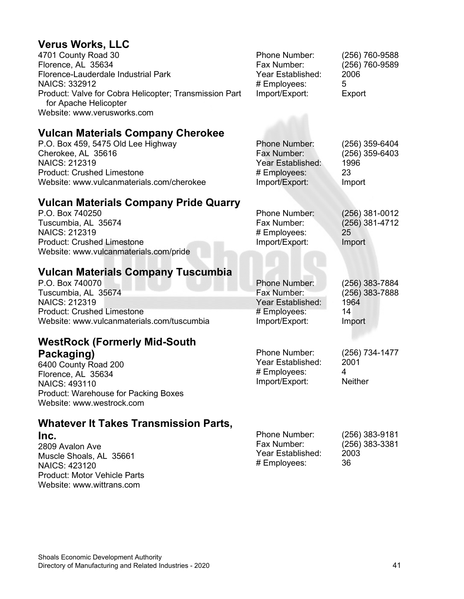## **Verus Works, LLC**

| <b>Verus Works, LLC</b>                                                                                                                                            |                                                                                            |                                                            |
|--------------------------------------------------------------------------------------------------------------------------------------------------------------------|--------------------------------------------------------------------------------------------|------------------------------------------------------------|
| 4701 County Road 30<br>Florence, AL 35634                                                                                                                          | Phone Number:<br>Fax Number:                                                               | (256) 760-9588<br>(256) 760-9589                           |
| Florence-Lauderdale Industrial Park                                                                                                                                | Year Established:                                                                          | 2006                                                       |
| <b>NAICS: 332912</b>                                                                                                                                               | # Employees:                                                                               | 5                                                          |
| Product: Valve for Cobra Helicopter; Transmission Part<br>for Apache Helicopter<br>Website: www.verusworks.com                                                     | Import/Export:                                                                             | Export                                                     |
| <b>Vulcan Materials Company Cherokee</b>                                                                                                                           |                                                                                            |                                                            |
| P.O. Box 459, 5475 Old Lee Highway<br>Cherokee, AL 35616<br><b>NAICS: 212319</b><br><b>Product: Crushed Limestone</b><br>Website: www.vulcanmaterials.com/cherokee | <b>Phone Number:</b><br>Fax Number:<br>Year Established:<br># Employees:<br>Import/Export: | (256) 359-6404<br>$(256)$ 359-6403<br>1996<br>23<br>Import |
| <b>Vulcan Materials Company Pride Quarry</b>                                                                                                                       |                                                                                            |                                                            |
| P.O. Box 740250                                                                                                                                                    | Phone Number:                                                                              | $(256)$ 381-0012                                           |
| Tuscumbia, AL 35674                                                                                                                                                | Fax Number:                                                                                | $(256)$ 381-4712                                           |
| <b>NAICS: 212319</b><br><b>Product: Crushed Limestone</b>                                                                                                          | # Employees:<br>Import/Export:                                                             | 25<br>Import                                               |
| Website: www.vulcanmaterials.com/pride                                                                                                                             |                                                                                            |                                                            |
| <b>Vulcan Materials Company Tuscumbia</b>                                                                                                                          |                                                                                            |                                                            |
| P.O. Box 740070                                                                                                                                                    | <b>Phone Number:</b>                                                                       | (256) 383-7884                                             |
| Tuscumbia, AL 35674                                                                                                                                                | Fax Number:                                                                                | (256) 383-7888                                             |
| <b>NAICS: 212319</b>                                                                                                                                               | Year Established:                                                                          | 1964                                                       |
| <b>Product: Crushed Limestone</b><br>Website: www.vulcanmaterials.com/tuscumbia                                                                                    | # Employees:<br>Import/Export:                                                             | 14<br>Import                                               |
| <b>WestRock (Formerly Mid-South</b>                                                                                                                                |                                                                                            |                                                            |
| Packaging)                                                                                                                                                         | Phone Number:                                                                              | (256) 734-1477                                             |
| 6400 County Road 200                                                                                                                                               | Year Established:                                                                          | 2001                                                       |
| Florence, AL 35634                                                                                                                                                 | # Employees:                                                                               | 4                                                          |
| NAICS: 493110                                                                                                                                                      | Import/Export:                                                                             | <b>Neither</b>                                             |
| Product: Warehouse for Packing Boxes<br>Website: www.westrock.com                                                                                                  |                                                                                            |                                                            |
| <b>Whatever It Takes Transmission Parts,</b>                                                                                                                       |                                                                                            |                                                            |
| Inc.                                                                                                                                                               | Phone Number:                                                                              | $(256)$ 383-9181                                           |
| 2809 Avalon Ave                                                                                                                                                    | Fax Number:                                                                                | (256) 383-3381                                             |

2809 Avalon Ave Muscle Shoals, AL 35661 NAICS: 423120 Product: Motor Vehicle Parts Website: www.wittrans.com

| Phone Number:     | $(256)$ 383-9181 |
|-------------------|------------------|
| Fax Number:       | $(256)$ 383-3381 |
| Year Established: | 2003             |
| # Employees:      | 36               |
|                   |                  |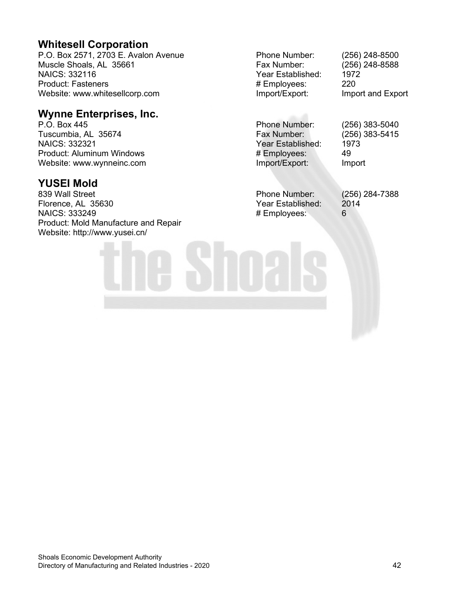#### **Whitesell Corporation**

P.O. Box 2571, 2703 E. Avalon Avenue Muscle Shoals, AL 35661 NAICS: 332116 Product: Fasteners Website: www.whitesellcorp.com

#### **Wynne Enterprises, Inc.**

P.O. Box 445 Tuscumbia, AL 35674 NAICS: 332321 Product: Aluminum Windows Website: www.wynneinc.com

#### **YUSEI Mold**

839 Wall Street Florence, AL 35630 NAICS: 333249 Product: Mold Manufacture and Repair Website: http://www.yusei.cn/

Phone Number: (256) 248-8500 Fax Number: (256) 248-8588 Year Established: 1972<br># Emplovees: 220 # Employees:<br>Import/Export:

Import and Export

Phone Number: (256) 383-5040 Fax Number: (256) 383-5415 Year Established: 1973<br># Employees: 49 # Employees: 49<br>
Import/Export: Import Import/Export:

Phone Number: (256) 284-7388<br>Year Established: 2014 Year Established: 2014<br># Emplovees: 6 # Employees: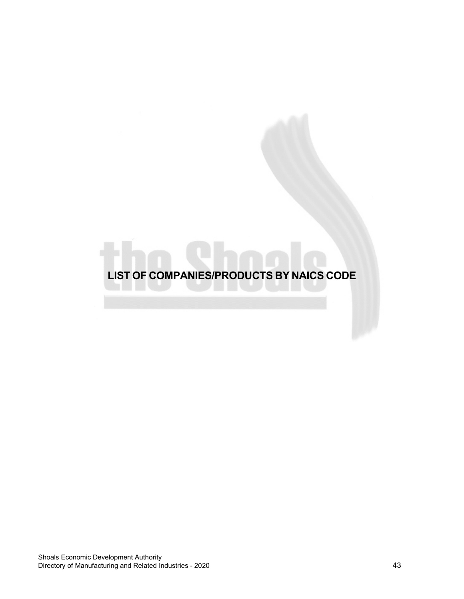<span id="page-42-0"></span>**LIST OF COMPANIES/PRODUCTS BY NAICS CODE**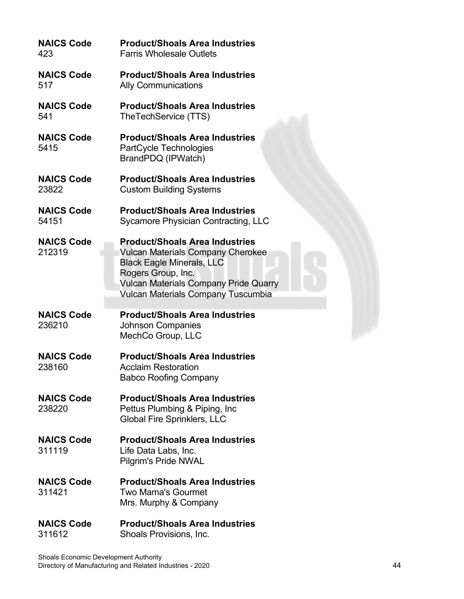| <b>NAICS Code</b><br>423    | <b>Product/Shoals Area Industries</b><br><b>Farris Wholesale Outlets</b>                                                                                                                                                                 |
|-----------------------------|------------------------------------------------------------------------------------------------------------------------------------------------------------------------------------------------------------------------------------------|
| <b>NAICS Code</b><br>517    | <b>Product/Shoals Area Industries</b><br><b>Ally Communications</b>                                                                                                                                                                      |
| <b>NAICS Code</b><br>541    | <b>Product/Shoals Area Industries</b><br>TheTechService (TTS)                                                                                                                                                                            |
| <b>NAICS Code</b><br>5415   | <b>Product/Shoals Area Industries</b><br>PartCycle Technologies<br>BrandPDQ (IPWatch)                                                                                                                                                    |
| <b>NAICS Code</b><br>23822  | <b>Product/Shoals Area Industries</b><br><b>Custom Building Systems</b>                                                                                                                                                                  |
| <b>NAICS Code</b><br>54151  | <b>Product/Shoals Area Industries</b><br>Sycamore Physician Contracting, LLC                                                                                                                                                             |
| <b>NAICS Code</b><br>212319 | <b>Product/Shoals Area Industries</b><br><b>Vulcan Materials Company Cherokee</b><br><b>Black Eagle Minerals, LLC</b><br>Rogers Group, Inc.<br><b>Vulcan Materials Company Pride Quarry</b><br><b>Vulcan Materials Company Tuscumbia</b> |
| <b>NAICS Code</b><br>236210 | <b>Product/Shoals Area Industries</b><br><b>Johnson Companies</b><br>MechCo Group, LLC                                                                                                                                                   |
| <b>NAICS Code</b><br>238160 | <b>Product/Shoals Area Industries</b><br><b>Acclaim Restoration</b><br><b>Babco Roofing Company</b>                                                                                                                                      |
| <b>NAICS Code</b><br>238220 | <b>Product/Shoals Area Industries</b><br>Pettus Plumbing & Piping, Inc.<br><b>Global Fire Sprinklers, LLC</b>                                                                                                                            |
| <b>NAICS Code</b><br>311119 | <b>Product/Shoals Area Industries</b><br>Life Data Labs, Inc.<br><b>Pilgrim's Pride NWAL</b>                                                                                                                                             |
| <b>NAICS Code</b><br>311421 | <b>Product/Shoals Area Industries</b><br><b>Two Mama's Gourmet</b><br>Mrs. Murphy & Company                                                                                                                                              |
| <b>NAICS Code</b><br>311612 | <b>Product/Shoals Area Industries</b><br>Shoals Provisions, Inc.                                                                                                                                                                         |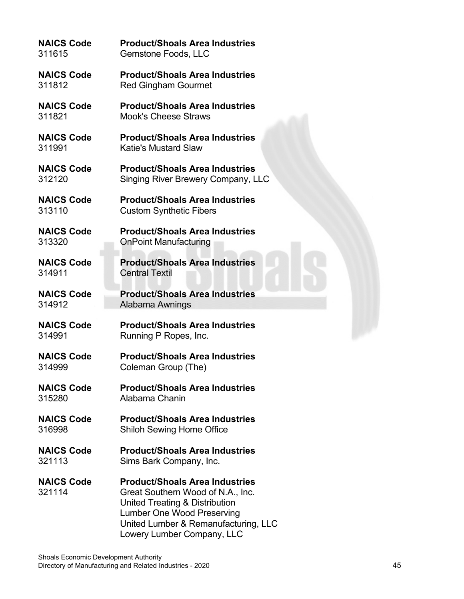#### **NAICS Code Product/Shoals Area Industries** 311615 Gemstone Foods, LLC

**NAICS Code Product/Shoals Area Industries** 311812 Red Gingham Gourmet

**NAICS Code Product/Shoals Area Industries** 311821 Mook's Cheese Straws

**NAICS Code Product/Shoals Area Industries** Katie's Mustard Slaw

**NAICS Code Product/Shoals Area Industries**<br>312120 Singing River Brewery Company. L Singing River Brewery Company, LLC

**NAICS Code Product/Shoals Area Industries** 313110 Custom Synthetic Fibers

**NAICS Code Product/Shoals Area Industries** 313320 OnPoint Manufacturing

**NAICS Code Product/Shoals Area Industries** 314911 Central Textil

**NAICS Code Product/Shoals Area Industries** Alabama Awnings

**NAICS Code Product/Shoals Area Industries** 314991 Running P Ropes, Inc.

**NAICS Code Product/Shoals Area Industries** 314999 Coleman Group (The)

**NAICS Code Product/Shoals Area Industries** 315280 Alabama Chanin

**NAICS Code Product/Shoals Area Industries** 316998 Shiloh Sewing Home Office

**NAICS Code Product/Shoals Area Industries** 321113 Sims Bark Company, Inc.

#### **NAICS Code Product/Shoals Area Industries**<br>321114 Great Southern Wood of N A Inc. Great Southern Wood of N.A., Inc. United Treating & Distribution Lumber One Wood Preserving United Lumber & Remanufacturing, LLC Lowery Lumber Company, LLC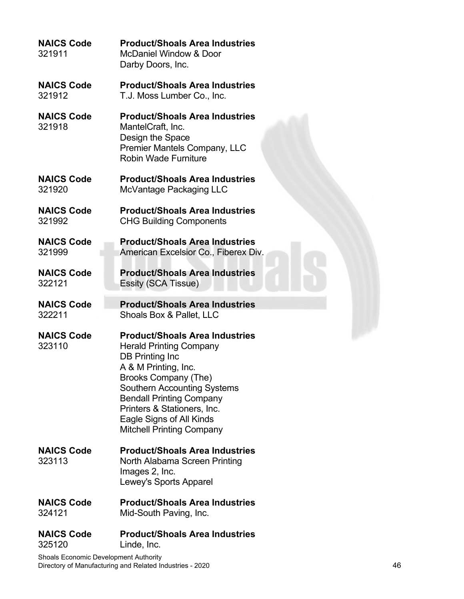| <b>NAICS Code</b><br>321911 | <b>Product/Shoals Area Industries</b><br><b>McDaniel Window &amp; Door</b><br>Darby Doors, Inc.                                                                                                                                                                                                                           |
|-----------------------------|---------------------------------------------------------------------------------------------------------------------------------------------------------------------------------------------------------------------------------------------------------------------------------------------------------------------------|
| <b>NAICS Code</b>           | <b>Product/Shoals Area Industries</b>                                                                                                                                                                                                                                                                                     |
| 321912                      | T.J. Moss Lumber Co., Inc.                                                                                                                                                                                                                                                                                                |
| <b>NAICS Code</b><br>321918 | <b>Product/Shoals Area Industries</b><br>MantelCraft, Inc.<br>Design the Space<br>Premier Mantels Company, LLC<br><b>Robin Wade Furniture</b>                                                                                                                                                                             |
| <b>NAICS Code</b>           | <b>Product/Shoals Area Industries</b>                                                                                                                                                                                                                                                                                     |
| 321920                      | McVantage Packaging LLC                                                                                                                                                                                                                                                                                                   |
| <b>NAICS Code</b>           | <b>Product/Shoals Area Industries</b>                                                                                                                                                                                                                                                                                     |
| 321992                      | <b>CHG Building Components</b>                                                                                                                                                                                                                                                                                            |
| <b>NAICS Code</b>           | <b>Product/Shoals Area Industries</b>                                                                                                                                                                                                                                                                                     |
| 321999                      | American Excelsior Co., Fiberex Div.                                                                                                                                                                                                                                                                                      |
| <b>NAICS Code</b>           | <b>Product/Shoals Area Industries</b>                                                                                                                                                                                                                                                                                     |
| 322121                      | Essity (SCA Tissue)                                                                                                                                                                                                                                                                                                       |
| <b>NAICS Code</b>           | <b>Product/Shoals Area Industries</b>                                                                                                                                                                                                                                                                                     |
| 322211                      | Shoals Box & Pallet, LLC                                                                                                                                                                                                                                                                                                  |
| <b>NAICS Code</b><br>323110 | <b>Product/Shoals Area Industries</b><br><b>Herald Printing Company</b><br>DB Printing Inc<br>A & M Printing, Inc.<br><b>Brooks Company (The)</b><br><b>Southern Accounting Systems</b><br><b>Bendall Printing Company</b><br>Printers & Stationers, Inc.<br>Eagle Signs of All Kinds<br><b>Mitchell Printing Company</b> |
| <b>NAICS Code</b><br>323113 | <b>Product/Shoals Area Industries</b><br>North Alabama Screen Printing<br>Images 2, Inc.                                                                                                                                                                                                                                  |
|                             | Lewey's Sports Apparel                                                                                                                                                                                                                                                                                                    |
| <b>NAICS Code</b>           | <b>Product/Shoals Area Industries</b>                                                                                                                                                                                                                                                                                     |
| 324121                      | Mid-South Paving, Inc.                                                                                                                                                                                                                                                                                                    |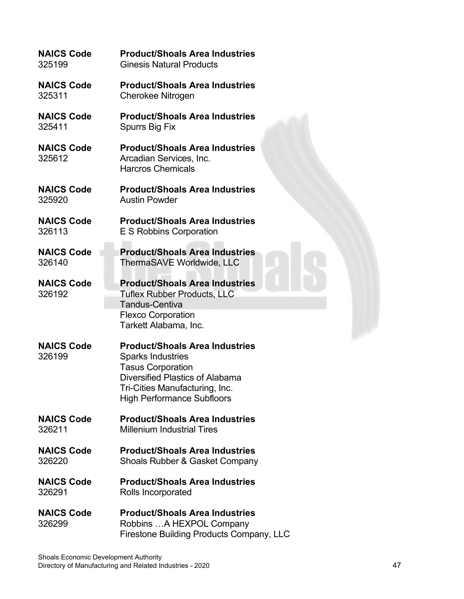| <b>NAICS Code</b>           | <b>Product/Shoals Area Industries</b>                                                                                                                                                                   |
|-----------------------------|---------------------------------------------------------------------------------------------------------------------------------------------------------------------------------------------------------|
| 325199                      | <b>Ginesis Natural Products</b>                                                                                                                                                                         |
| <b>NAICS Code</b>           | <b>Product/Shoals Area Industries</b>                                                                                                                                                                   |
| 325311                      | <b>Cherokee Nitrogen</b>                                                                                                                                                                                |
| <b>NAICS Code</b>           | <b>Product/Shoals Area Industries</b>                                                                                                                                                                   |
| 325411                      | Spurrs Big Fix                                                                                                                                                                                          |
| <b>NAICS Code</b><br>325612 | <b>Product/Shoals Area Industries</b><br>Arcadian Services, Inc.<br><b>Harcros Chemicals</b>                                                                                                            |
| <b>NAICS Code</b>           | <b>Product/Shoals Area Industries</b>                                                                                                                                                                   |
| 325920                      | <b>Austin Powder</b>                                                                                                                                                                                    |
| <b>NAICS Code</b>           | <b>Product/Shoals Area Industries</b>                                                                                                                                                                   |
| 326113                      | E S Robbins Corporation                                                                                                                                                                                 |
| <b>NAICS Code</b>           | <b>Product/Shoals Area Industries</b>                                                                                                                                                                   |
| 326140                      | ThermaSAVE Worldwide, LLC                                                                                                                                                                               |
| <b>NAICS Code</b><br>326192 | <b>Product/Shoals Area Industries</b><br><b>Tuflex Rubber Products, LLC</b><br><b>Tandus-Centiva</b><br><b>Flexco Corporation</b><br>Tarkett Alabama, Inc.                                              |
| <b>NAICS Code</b><br>326199 | <b>Product/Shoals Area Industries</b><br><b>Sparks Industries</b><br><b>Tasus Corporation</b><br>Diversified Plastics of Alabama<br>Tri-Cities Manufacturing, Inc.<br><b>High Performance Subfloors</b> |
| <b>NAICS Code</b>           | <b>Product/Shoals Area Industries</b>                                                                                                                                                                   |
| 326211                      | <b>Millenium Industrial Tires</b>                                                                                                                                                                       |
| <b>NAICS Code</b>           | <b>Product/Shoals Area Industries</b>                                                                                                                                                                   |
| 326220                      | Shoals Rubber & Gasket Company                                                                                                                                                                          |
| <b>NAICS Code</b>           | <b>Product/Shoals Area Industries</b>                                                                                                                                                                   |
| 326291                      | Rolls Incorporated                                                                                                                                                                                      |
| <b>NAICS Code</b><br>326299 | <b>Product/Shoals Area Industries</b><br>Robbins  A HEXPOL Company<br><b>Firestone Building Products Company, LLC</b>                                                                                   |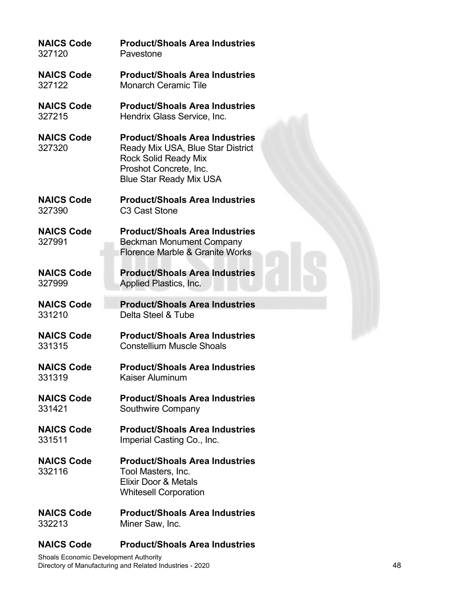| <b>NAICS Code</b>           | <b>Product/Shoals Area Industries</b>                                                                                                                                 |
|-----------------------------|-----------------------------------------------------------------------------------------------------------------------------------------------------------------------|
| 327120                      | Pavestone                                                                                                                                                             |
| <b>NAICS Code</b>           | <b>Product/Shoals Area Industries</b>                                                                                                                                 |
| 327122                      | <b>Monarch Ceramic Tile</b>                                                                                                                                           |
| <b>NAICS Code</b>           | <b>Product/Shoals Area Industries</b>                                                                                                                                 |
| 327215                      | Hendrix Glass Service, Inc.                                                                                                                                           |
| <b>NAICS Code</b><br>327320 | <b>Product/Shoals Area Industries</b><br>Ready Mix USA, Blue Star District<br><b>Rock Solid Ready Mix</b><br>Proshot Concrete, Inc.<br><b>Blue Star Ready Mix USA</b> |
| <b>NAICS Code</b>           | <b>Product/Shoals Area Industries</b>                                                                                                                                 |
| 327390                      | C <sub>3</sub> Cast Stone                                                                                                                                             |
| <b>NAICS Code</b><br>327991 | <b>Product/Shoals Area Industries</b><br><b>Beckman Monument Company</b><br>Florence Marble & Granite Works                                                           |
| <b>NAICS Code</b>           | <b>Product/Shoals Area Industries</b>                                                                                                                                 |
| 327999                      | Applied Plastics, Inc.                                                                                                                                                |
| <b>NAICS Code</b>           | <b>Product/Shoals Area Industries</b>                                                                                                                                 |
| 331210                      | Delta Steel & Tube                                                                                                                                                    |
| <b>NAICS Code</b>           | <b>Product/Shoals Area Industries</b>                                                                                                                                 |
| 331315                      | <b>Constellium Muscle Shoals</b>                                                                                                                                      |
| <b>NAICS Code</b>           | <b>Product/Shoals Area Industries</b>                                                                                                                                 |
| 331319                      | Kaiser Aluminum                                                                                                                                                       |
| <b>NAICS Code</b>           | <b>Product/Shoals Area Industries</b>                                                                                                                                 |
| 331421                      | Southwire Company                                                                                                                                                     |
| <b>NAICS Code</b>           | <b>Product/Shoals Area Industries</b>                                                                                                                                 |
| 331511                      | Imperial Casting Co., Inc.                                                                                                                                            |
| <b>NAICS Code</b><br>332116 | <b>Product/Shoals Area Industries</b><br>Tool Masters, Inc.<br>Elixir Door & Metals<br><b>Whitesell Corporation</b>                                                   |
| <b>NAICS Code</b>           | <b>Product/Shoals Area Industries</b>                                                                                                                                 |
| 332213                      | Miner Saw, Inc.                                                                                                                                                       |

#### **NAICS Code Product/Shoals Area Industries**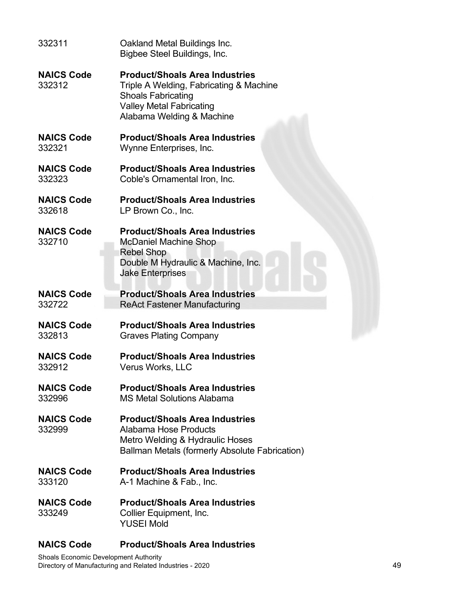| 332311                      | Oakland Metal Buildings Inc.<br>Bigbee Steel Buildings, Inc.                                                                                                                  |
|-----------------------------|-------------------------------------------------------------------------------------------------------------------------------------------------------------------------------|
| <b>NAICS Code</b><br>332312 | <b>Product/Shoals Area Industries</b><br>Triple A Welding, Fabricating & Machine<br><b>Shoals Fabricating</b><br><b>Valley Metal Fabricating</b><br>Alabama Welding & Machine |
| <b>NAICS Code</b>           | <b>Product/Shoals Area Industries</b>                                                                                                                                         |
| 332321                      | Wynne Enterprises, Inc.                                                                                                                                                       |
| <b>NAICS Code</b>           | <b>Product/Shoals Area Industries</b>                                                                                                                                         |
| 332323                      | Coble's Ornamental Iron, Inc.                                                                                                                                                 |
| <b>NAICS Code</b>           | <b>Product/Shoals Area Industries</b>                                                                                                                                         |
| 332618                      | LP Brown Co., Inc.                                                                                                                                                            |
| <b>NAICS Code</b><br>332710 | <b>Product/Shoals Area Industries</b><br><b>McDaniel Machine Shop</b><br><b>Rebel Shop</b><br>Double M Hydraulic & Machine, Inc.<br><b>Jake Enterprises</b>                   |
| <b>NAICS Code</b>           | <b>Product/Shoals Area Industries</b>                                                                                                                                         |
| 332722                      | <b>ReAct Fastener Manufacturing</b>                                                                                                                                           |
| <b>NAICS Code</b>           | <b>Product/Shoals Area Industries</b>                                                                                                                                         |
| 332813                      | <b>Graves Plating Company</b>                                                                                                                                                 |
| <b>NAICS Code</b>           | <b>Product/Shoals Area Industries</b>                                                                                                                                         |
| 332912                      | Verus Works, LLC                                                                                                                                                              |
| <b>NAICS Code</b>           | <b>Product/Shoals Area Industries</b>                                                                                                                                         |
| 332996                      | <b>MS Metal Solutions Alabama</b>                                                                                                                                             |
| <b>NAICS Code</b><br>332999 | <b>Product/Shoals Area Industries</b><br>Alabama Hose Products<br>Metro Welding & Hydraulic Hoses<br>Ballman Metals (formerly Absolute Fabrication)                           |
| <b>NAICS Code</b>           | <b>Product/Shoals Area Industries</b>                                                                                                                                         |
| 333120                      | A-1 Machine & Fab., Inc.                                                                                                                                                      |
| <b>NAICS Code</b><br>333249 | <b>Product/Shoals Area Industries</b><br>Collier Equipment, Inc.<br><b>YUSEI Mold</b>                                                                                         |

#### **NAICS Code Product/Shoals Area Industries**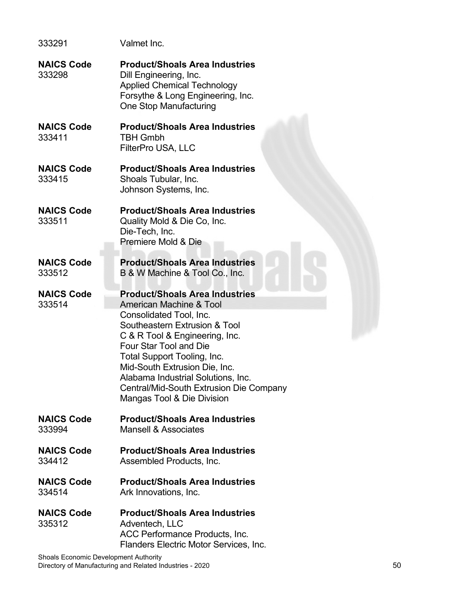| 333291                      | Valmet Inc.                                                                                                                                                                                                                                                                                                                                                             |
|-----------------------------|-------------------------------------------------------------------------------------------------------------------------------------------------------------------------------------------------------------------------------------------------------------------------------------------------------------------------------------------------------------------------|
| <b>NAICS Code</b><br>333298 | <b>Product/Shoals Area Industries</b><br>Dill Engineering, Inc.<br><b>Applied Chemical Technology</b><br>Forsythe & Long Engineering, Inc.<br>One Stop Manufacturing                                                                                                                                                                                                    |
| <b>NAICS Code</b><br>333411 | <b>Product/Shoals Area Industries</b><br><b>TBH Gmbh</b><br>FilterPro USA, LLC                                                                                                                                                                                                                                                                                          |
| <b>NAICS Code</b><br>333415 | <b>Product/Shoals Area Industries</b><br>Shoals Tubular, Inc.<br>Johnson Systems, Inc.                                                                                                                                                                                                                                                                                  |
| <b>NAICS Code</b><br>333511 | <b>Product/Shoals Area Industries</b><br>Quality Mold & Die Co, Inc.<br>Die-Tech, Inc.<br>Premiere Mold & Die                                                                                                                                                                                                                                                           |
| <b>NAICS Code</b><br>333512 | <b>Product/Shoals Area Industries</b><br>B & W Machine & Tool Co., Inc.                                                                                                                                                                                                                                                                                                 |
| <b>NAICS Code</b><br>333514 | <b>Product/Shoals Area Industries</b><br>American Machine & Tool<br>Consolidated Tool, Inc.<br>Southeastern Extrusion & Tool<br>C & R Tool & Engineering, Inc.<br>Four Star Tool and Die<br>Total Support Tooling, Inc.<br>Mid-South Extrusion Die, Inc.<br>Alabama Industrial Solutions, Inc.<br>Central/Mid-South Extrusion Die Company<br>Mangas Tool & Die Division |
| <b>NAICS Code</b><br>333994 | <b>Product/Shoals Area Industries</b><br><b>Mansell &amp; Associates</b>                                                                                                                                                                                                                                                                                                |
| <b>NAICS Code</b><br>334412 | <b>Product/Shoals Area Industries</b><br>Assembled Products, Inc.                                                                                                                                                                                                                                                                                                       |
| <b>NAICS Code</b><br>334514 | <b>Product/Shoals Area Industries</b><br>Ark Innovations, Inc.                                                                                                                                                                                                                                                                                                          |
| <b>NAICS Code</b><br>335312 | <b>Product/Shoals Area Industries</b><br>Adventech, LLC<br>ACC Performance Products, Inc.<br>Flanders Electric Motor Services, Inc.                                                                                                                                                                                                                                     |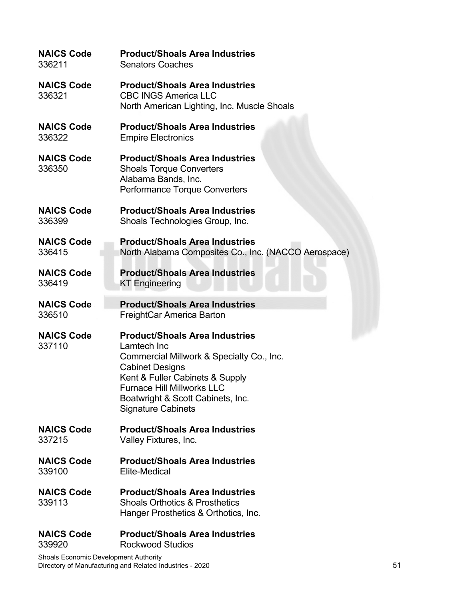| <b>NAICS Code</b>           | <b>Product/Shoals Area Industries</b>                                                                                                                                                                                                                                 |
|-----------------------------|-----------------------------------------------------------------------------------------------------------------------------------------------------------------------------------------------------------------------------------------------------------------------|
| 336211                      | <b>Senators Coaches</b>                                                                                                                                                                                                                                               |
| <b>NAICS Code</b><br>336321 | <b>Product/Shoals Area Industries</b><br><b>CBC INGS America LLC</b><br>North American Lighting, Inc. Muscle Shoals                                                                                                                                                   |
| <b>NAICS Code</b>           | <b>Product/Shoals Area Industries</b>                                                                                                                                                                                                                                 |
| 336322                      | <b>Empire Electronics</b>                                                                                                                                                                                                                                             |
| <b>NAICS Code</b><br>336350 | <b>Product/Shoals Area Industries</b><br><b>Shoals Torque Converters</b><br>Alabama Bands, Inc.<br>Performance Torque Converters                                                                                                                                      |
| <b>NAICS Code</b>           | <b>Product/Shoals Area Industries</b>                                                                                                                                                                                                                                 |
| 336399                      | Shoals Technologies Group, Inc.                                                                                                                                                                                                                                       |
| <b>NAICS Code</b>           | <b>Product/Shoals Area Industries</b>                                                                                                                                                                                                                                 |
| 336415                      | North Alabama Composites Co., Inc. (NACCO Aerospace)                                                                                                                                                                                                                  |
| <b>NAICS Code</b>           | <b>Product/Shoals Area Industries</b>                                                                                                                                                                                                                                 |
| 336419                      | <b>KT Engineering</b>                                                                                                                                                                                                                                                 |
| <b>NAICS Code</b>           | <b>Product/Shoals Area Industries</b>                                                                                                                                                                                                                                 |
| 336510                      | FreightCar America Barton                                                                                                                                                                                                                                             |
| <b>NAICS Code</b><br>337110 | <b>Product/Shoals Area Industries</b><br>Lamtech Inc<br>Commercial Millwork & Specialty Co., Inc.<br><b>Cabinet Designs</b><br>Kent & Fuller Cabinets & Supply<br><b>Furnace Hill Millworks LLC</b><br>Boatwright & Scott Cabinets, Inc.<br><b>Signature Cabinets</b> |
| <b>NAICS Code</b>           | <b>Product/Shoals Area Industries</b>                                                                                                                                                                                                                                 |
| 337215                      | Valley Fixtures, Inc.                                                                                                                                                                                                                                                 |
| <b>NAICS Code</b>           | <b>Product/Shoals Area Industries</b>                                                                                                                                                                                                                                 |
| 339100                      | Elite-Medical                                                                                                                                                                                                                                                         |
| <b>NAICS Code</b><br>339113 | <b>Product/Shoals Area Industries</b><br><b>Shoals Orthotics &amp; Prosthetics</b><br>Hanger Prosthetics & Orthotics, Inc.                                                                                                                                            |
| <b>NAICS Code</b>           | <b>Product/Shoals Area Industries</b>                                                                                                                                                                                                                                 |
| 339920                      | <b>Rockwood Studios</b>                                                                                                                                                                                                                                               |

Shoals Economic Development Authority Directory of Manufacturing and Related Industries - 2020 **51** SM and the United States of the States of States of St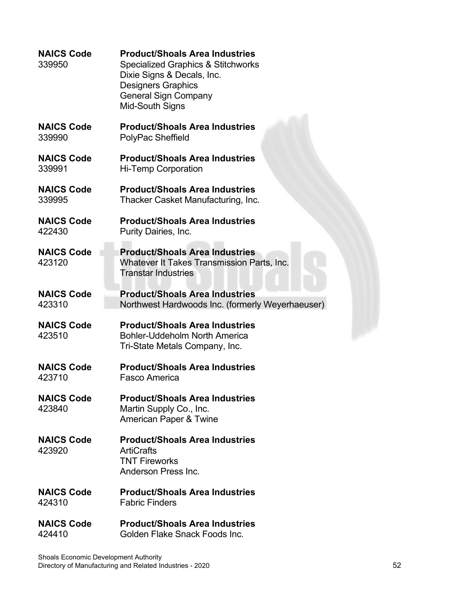| <b>NAICS Code</b><br>339950 | <b>Product/Shoals Area Industries</b><br><b>Specialized Graphics &amp; Stitchworks</b><br>Dixie Signs & Decals, Inc.<br><b>Designers Graphics</b><br><b>General Sign Company</b><br>Mid-South Signs |
|-----------------------------|-----------------------------------------------------------------------------------------------------------------------------------------------------------------------------------------------------|
| <b>NAICS Code</b>           | <b>Product/Shoals Area Industries</b>                                                                                                                                                               |
| 339990                      | PolyPac Sheffield                                                                                                                                                                                   |
| <b>NAICS Code</b>           | <b>Product/Shoals Area Industries</b>                                                                                                                                                               |
| 339991                      | <b>Hi-Temp Corporation</b>                                                                                                                                                                          |
| <b>NAICS Code</b>           | <b>Product/Shoals Area Industries</b>                                                                                                                                                               |
| 339995                      | Thacker Casket Manufacturing, Inc.                                                                                                                                                                  |
| <b>NAICS Code</b>           | <b>Product/Shoals Area Industries</b>                                                                                                                                                               |
| 422430                      | Purity Dairies, Inc.                                                                                                                                                                                |
| <b>NAICS Code</b><br>423120 | <b>Product/Shoals Area Industries</b><br>Whatever It Takes Transmission Parts, Inc.<br><b>Transtar Industries</b>                                                                                   |
| <b>NAICS Code</b>           | <b>Product/Shoals Area Industries</b>                                                                                                                                                               |
| 423310                      | Northwest Hardwoods Inc. (formerly Weyerhaeuser)                                                                                                                                                    |
| <b>NAICS Code</b><br>423510 | <b>Product/Shoals Area Industries</b><br>Bohler-Uddeholm North America<br>Tri-State Metals Company, Inc.                                                                                            |
| <b>NAICS Code</b>           | <b>Product/Shoals Area Industries</b>                                                                                                                                                               |
| 423710                      | Fasco America                                                                                                                                                                                       |
| <b>NAICS Code</b><br>423840 | <b>Product/Shoals Area Industries</b><br>Martin Supply Co., Inc.<br><b>American Paper &amp; Twine</b>                                                                                               |
| <b>NAICS Code</b><br>423920 | <b>Product/Shoals Area Industries</b><br><b>ArtiCrafts</b><br><b>TNT Fireworks</b><br>Anderson Press Inc.                                                                                           |
| <b>NAICS Code</b>           | <b>Product/Shoals Area Industries</b>                                                                                                                                                               |
| 424310                      | <b>Fabric Finders</b>                                                                                                                                                                               |
| <b>NAICS Code</b>           | <b>Product/Shoals Area Industries</b>                                                                                                                                                               |
| 424410                      | Golden Flake Snack Foods Inc.                                                                                                                                                                       |

Shoals Economic Development Authority Directory of Manufacturing and Related Industries - 2020 52 Services and the state of the state of the Society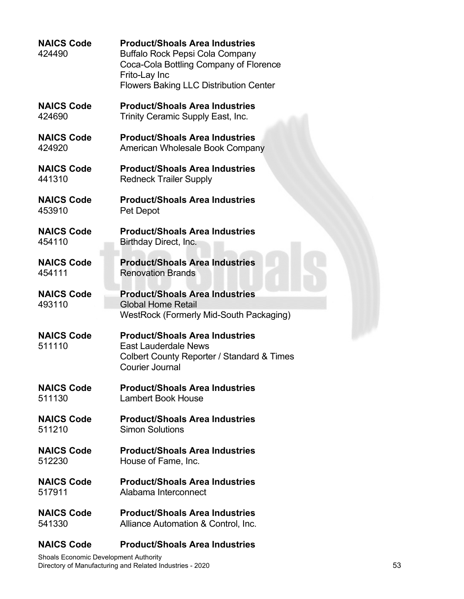| <b>NAICS Code</b><br>424490 | <b>Product/Shoals Area Industries</b><br>Buffalo Rock Pepsi Cola Company<br>Coca-Cola Bottling Company of Florence<br>Frito-Lay Inc<br><b>Flowers Baking LLC Distribution Center</b> |
|-----------------------------|--------------------------------------------------------------------------------------------------------------------------------------------------------------------------------------|
| <b>NAICS Code</b>           | <b>Product/Shoals Area Industries</b>                                                                                                                                                |
| 424690                      | Trinity Ceramic Supply East, Inc.                                                                                                                                                    |
| <b>NAICS Code</b>           | <b>Product/Shoals Area Industries</b>                                                                                                                                                |
| 424920                      | American Wholesale Book Company                                                                                                                                                      |
| <b>NAICS Code</b>           | <b>Product/Shoals Area Industries</b>                                                                                                                                                |
| 441310                      | <b>Redneck Trailer Supply</b>                                                                                                                                                        |
| <b>NAICS Code</b>           | <b>Product/Shoals Area Industries</b>                                                                                                                                                |
| 453910                      | Pet Depot                                                                                                                                                                            |
| <b>NAICS Code</b>           | <b>Product/Shoals Area Industries</b>                                                                                                                                                |
| 454110                      | Birthday Direct, Inc.                                                                                                                                                                |
| <b>NAICS Code</b>           | <b>Product/Shoals Area Industries</b>                                                                                                                                                |
| 454111                      | <b>Renovation Brands</b>                                                                                                                                                             |
| <b>NAICS Code</b><br>493110 | <b>Product/Shoals Area Industries</b><br><b>Global Home Retail</b><br>WestRock (Formerly Mid-South Packaging)                                                                        |
| <b>NAICS Code</b><br>511110 | <b>Product/Shoals Area Industries</b><br><b>East Lauderdale News</b><br>Colbert County Reporter / Standard & Times<br><b>Courier Journal</b>                                         |
| <b>NAICS Code</b>           | <b>Product/Shoals Area Industries</b>                                                                                                                                                |
| 511130                      | <b>Lambert Book House</b>                                                                                                                                                            |
| <b>NAICS Code</b>           | <b>Product/Shoals Area Industries</b>                                                                                                                                                |
| 511210                      | <b>Simon Solutions</b>                                                                                                                                                               |
| <b>NAICS Code</b>           | <b>Product/Shoals Area Industries</b>                                                                                                                                                |
| 512230                      | House of Fame, Inc.                                                                                                                                                                  |
| <b>NAICS Code</b>           | <b>Product/Shoals Area Industries</b>                                                                                                                                                |
| 517911                      | Alabama Interconnect                                                                                                                                                                 |
| <b>NAICS Code</b>           | <b>Product/Shoals Area Industries</b>                                                                                                                                                |
| 541330                      | Alliance Automation & Control, Inc.                                                                                                                                                  |

### **NAICS Code Product/Shoals Area Industries**

Shoals Economic Development Authority Directory of Manufacturing and Related Industries - 2020 53 S3 and the state of the state of the state of the state of the state of the state of the state of the state of the state of the state of the state of the state of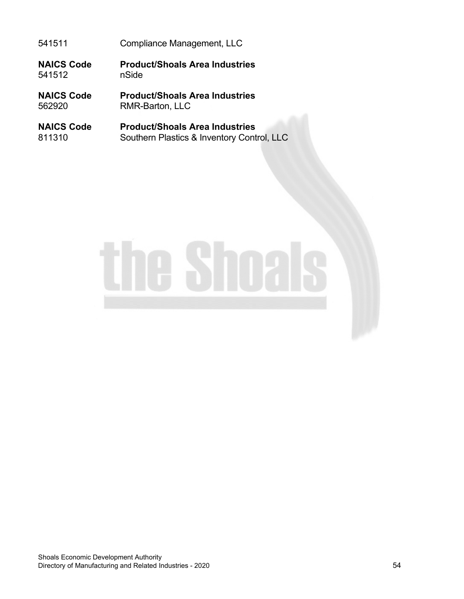541511 Compliance Management, LLC

**NAICS Code Product/Shoals Area Industries** 541512

**NAICS Code Product/Shoals Area Industries** RMR-Barton, LLC

**NAICS Code Product/Shoals Area Industries**<br>811310 Southern Plastics & Inventory Cont Southern Plastics & Inventory Control, LLC